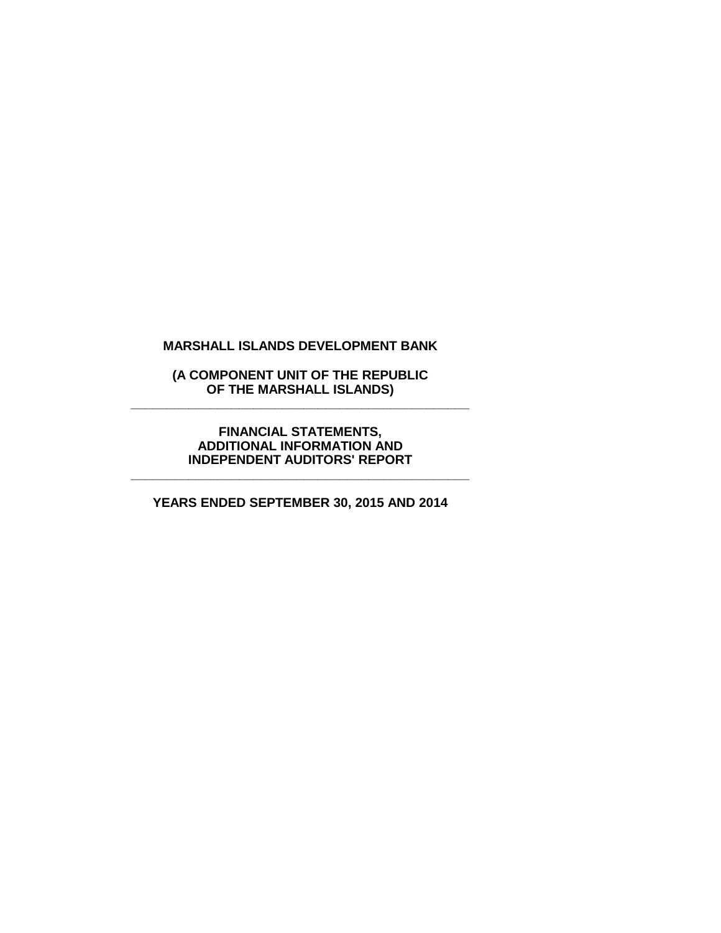**(A COMPONENT UNIT OF THE REPUBLIC OF THE MARSHALL ISLANDS) \_\_\_\_\_\_\_\_\_\_\_\_\_\_\_\_\_\_\_\_\_\_\_\_\_\_\_\_\_\_\_\_\_\_\_\_\_\_\_\_\_\_\_\_\_\_\_**

> **FINANCIAL STATEMENTS, ADDITIONAL INFORMATION AND INDEPENDENT AUDITORS' REPORT**

**YEARS ENDED SEPTEMBER 30, 2015 AND 2014**

**\_\_\_\_\_\_\_\_\_\_\_\_\_\_\_\_\_\_\_\_\_\_\_\_\_\_\_\_\_\_\_\_\_\_\_\_\_\_\_\_\_\_\_\_\_\_\_**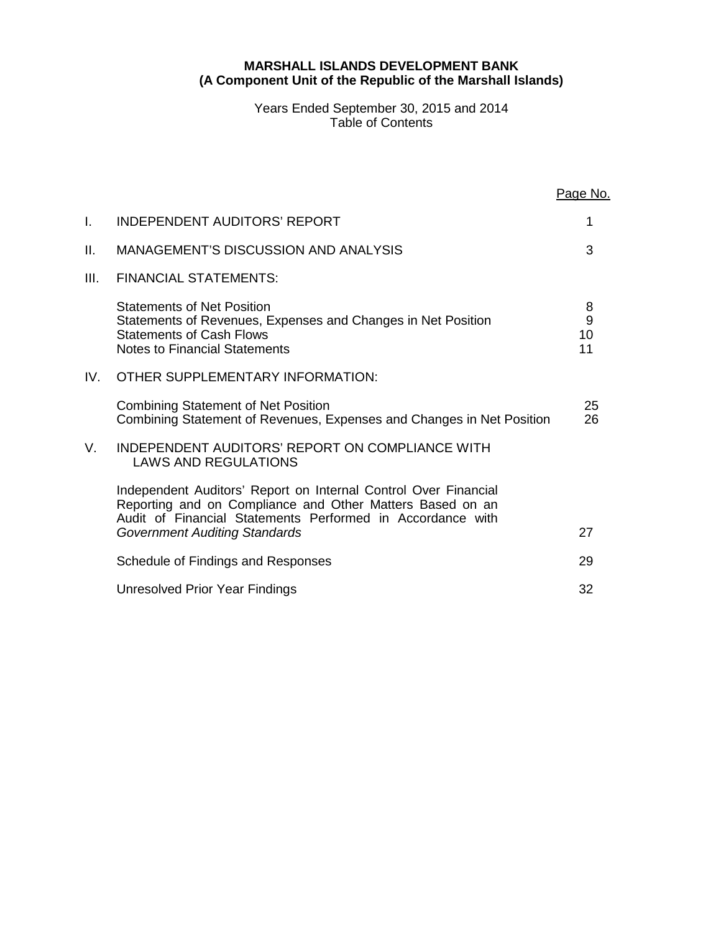# Years Ended September 30, 2015 and 2014 Table of Contents

|      |                                                                                                                                                                                            | <u>Page No.</u>    |
|------|--------------------------------------------------------------------------------------------------------------------------------------------------------------------------------------------|--------------------|
| I.   | <b>INDEPENDENT AUDITORS' REPORT</b>                                                                                                                                                        | 1                  |
| П.   | <b>MANAGEMENT'S DISCUSSION AND ANALYSIS</b>                                                                                                                                                | 3                  |
| III. | <b>FINANCIAL STATEMENTS:</b>                                                                                                                                                               |                    |
|      | <b>Statements of Net Position</b><br>Statements of Revenues, Expenses and Changes in Net Position<br><b>Statements of Cash Flows</b><br><b>Notes to Financial Statements</b>               | 8<br>9<br>10<br>11 |
| IV.  | OTHER SUPPLEMENTARY INFORMATION:                                                                                                                                                           |                    |
|      | <b>Combining Statement of Net Position</b><br>Combining Statement of Revenues, Expenses and Changes in Net Position                                                                        | 25<br>26           |
| V.   | INDEPENDENT AUDITORS' REPORT ON COMPLIANCE WITH<br>LAWS AND REGULATIONS                                                                                                                    |                    |
|      | Independent Auditors' Report on Internal Control Over Financial<br>Reporting and on Compliance and Other Matters Based on an<br>Audit of Financial Statements Performed in Accordance with |                    |
|      | <b>Government Auditing Standards</b>                                                                                                                                                       | 27                 |
|      | Schedule of Findings and Responses                                                                                                                                                         | 29                 |
|      | <b>Unresolved Prior Year Findings</b>                                                                                                                                                      | 32                 |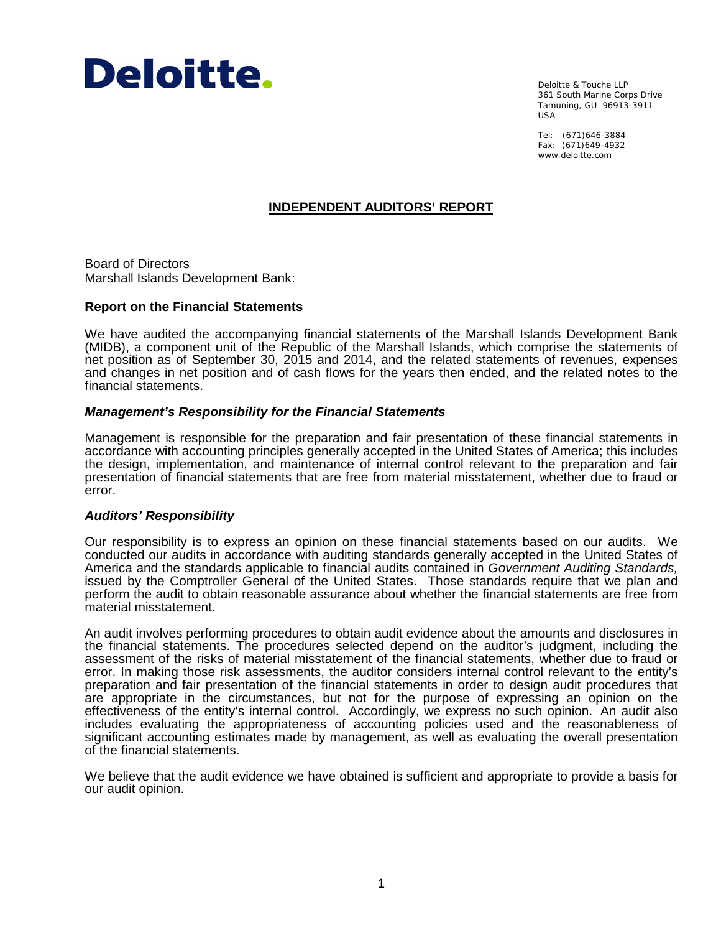

Deloitte & Touche LLP 361 South Marine Corps Drive Tamuning, GU 96913-3911 USA

Tel: (671)646-3884 Fax: (671)649-4932 www.deloitte.com

# **INDEPENDENT AUDITORS' REPORT**

Board of Directors Marshall Islands Development Bank:

#### **Report on the Financial Statements**

We have audited the accompanying financial statements of the Marshall Islands Development Bank (MIDB), a component unit of the Republic of the Marshall Islands, which comprise the statements of net position as of September 30, 2015 and 2014, and the related statements of revenues, expenses and changes in net position and of cash flows for the years then ended, and the related notes to the financial statements.

#### *Management's Responsibility for the Financial Statements*

Management is responsible for the preparation and fair presentation of these financial statements in accordance with accounting principles generally accepted in the United States of America; this includes the design, implementation, and maintenance of internal control relevant to the preparation and fair presentation of financial statements that are free from material misstatement, whether due to fraud or error.

#### *Auditors' Responsibility*

Our responsibility is to express an opinion on these financial statements based on our audits. We conducted our audits in accordance with auditing standards generally accepted in the United States of America and the standards applicable to financial audits contained in *Government Auditing Standards,* issued by the Comptroller General of the United States. Those standards require that we plan and perform the audit to obtain reasonable assurance about whether the financial statements are free from material misstatement.

An audit involves performing procedures to obtain audit evidence about the amounts and disclosures in the financial statements. The procedures selected depend on the auditor's judgment, including the assessment of the risks of material misstatement of the financial statements, whether due to fraud or error. In making those risk assessments, the auditor considers internal control relevant to the entity's preparation and fair presentation of the financial statements in order to design audit procedures that are appropriate in the circumstances, but not for the purpose of expressing an opinion on the effectiveness of the entity's internal control. Accordingly, we express no such opinion. An audit also includes evaluating the appropriateness of accounting policies used and the reasonableness of significant accounting estimates made by management, as well as evaluating the overall presentation of the financial statements.

We believe that the audit evidence we have obtained is sufficient and appropriate to provide a basis for our audit opinion.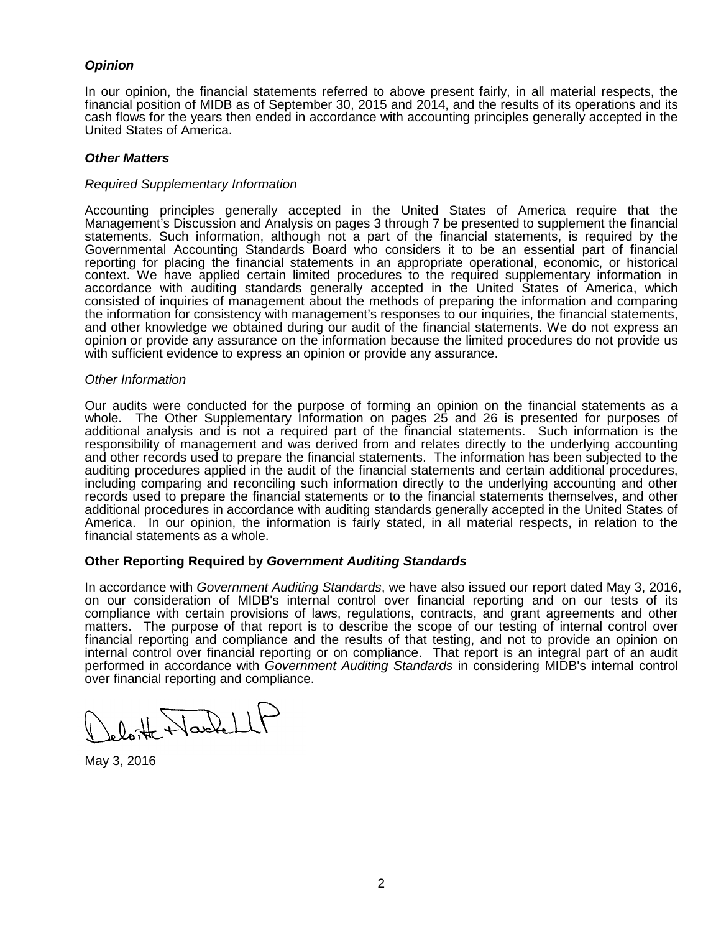# *Opinion*

In our opinion, the financial statements referred to above present fairly, in all material respects, the financial position of MIDB as of September 30, 2015 and 2014, and the results of its operations and its cash flows for the years then ended in accordance with accounting principles generally accepted in the United States of America.

# *Other Matters*

### *Required Supplementary Information*

Accounting principles generally accepted in the United States of America require that the Management's Discussion and Analysis on pages 3 through 7 be presented to supplement the financial statements. Such information, although not a part of the financial statements, is required by the Governmental Accounting Standards Board who considers it to be an essential part of financial reporting for placing the financial statements in an appropriate operational, economic, or historical context. We have applied certain limited procedures to the required supplementary information in accordance with auditing standards generally accepted in the United States of America, which consisted of inquiries of management about the methods of preparing the information and comparing the information for consistency with management's responses to our inquiries, the financial statements, and other knowledge we obtained during our audit of the financial statements. We do not express an opinion or provide any assurance on the information because the limited procedures do not provide us with sufficient evidence to express an opinion or provide any assurance.

#### *Other Information*

Our audits were conducted for the purpose of forming an opinion on the financial statements as a whole. The Other Supplementary Information on pages 25 and 26 is presented for purposes of additional analysis and is not a required part of the financial statements. Such information is the responsibility of management and was derived from and relates directly to the underlying accounting and other records used to prepare the financial statements. The information has been subjected to the auditing procedures applied in the audit of the financial statements and certain additional procedures, including comparing and reconciling such information directly to the underlying accounting and other records used to prepare the financial statements or to the financial statements themselves, and other additional procedures in accordance with auditing standards generally accepted in the United States of America. In our opinion, the information is fairly stated, in all material respects, in relation to the financial statements as a whole.

# **Other Reporting Required by** *Government Auditing Standards*

In accordance with *Government Auditing Standards*, we have also issued our report dated May 3, 2016, on our consideration of MIDB's internal control over financial reporting and on our tests of its compliance with certain provisions of laws, regulations, contracts, and grant agreements and other matters. The purpose of that report is to describe the scope of our testing of internal control over financial reporting and compliance and the results of that testing, and not to provide an opinion on internal control over financial reporting or on compliance. That report is an integral part of an audit performed in accordance with *Government Auditing Standards* in considering MIDB's internal control over financial reporting and compliance.

eloite Nachell

May 3, 2016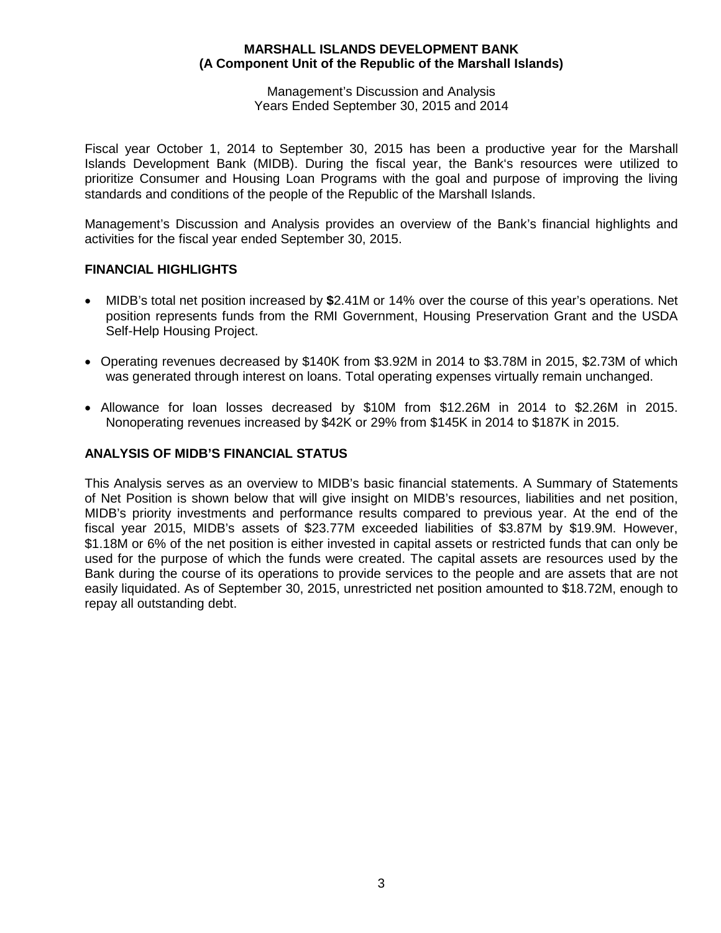Management's Discussion and Analysis Years Ended September 30, 2015 and 2014

Fiscal year October 1, 2014 to September 30, 2015 has been a productive year for the Marshall Islands Development Bank (MIDB). During the fiscal year, the Bank's resources were utilized to prioritize Consumer and Housing Loan Programs with the goal and purpose of improving the living standards and conditions of the people of the Republic of the Marshall Islands.

Management's Discussion and Analysis provides an overview of the Bank's financial highlights and activities for the fiscal year ended September 30, 2015.

# **FINANCIAL HIGHLIGHTS**

- MIDB's total net position increased by **\$**2.41M or 14% over the course of this year's operations. Net position represents funds from the RMI Government, Housing Preservation Grant and the USDA Self-Help Housing Project.
- Operating revenues decreased by \$140K from \$3.92M in 2014 to \$3.78M in 2015, \$2.73M of which was generated through interest on loans. Total operating expenses virtually remain unchanged.
- Allowance for loan losses decreased by \$10M from \$12.26M in 2014 to \$2.26M in 2015. Nonoperating revenues increased by \$42K or 29% from \$145K in 2014 to \$187K in 2015.

# **ANALYSIS OF MIDB'S FINANCIAL STATUS**

This Analysis serves as an overview to MIDB's basic financial statements. A Summary of Statements of Net Position is shown below that will give insight on MIDB's resources, liabilities and net position, MIDB's priority investments and performance results compared to previous year. At the end of the fiscal year 2015, MIDB's assets of \$23.77M exceeded liabilities of \$3.87M by \$19.9M. However, \$1.18M or 6% of the net position is either invested in capital assets or restricted funds that can only be used for the purpose of which the funds were created. The capital assets are resources used by the Bank during the course of its operations to provide services to the people and are assets that are not easily liquidated. As of September 30, 2015, unrestricted net position amounted to \$18.72M, enough to repay all outstanding debt.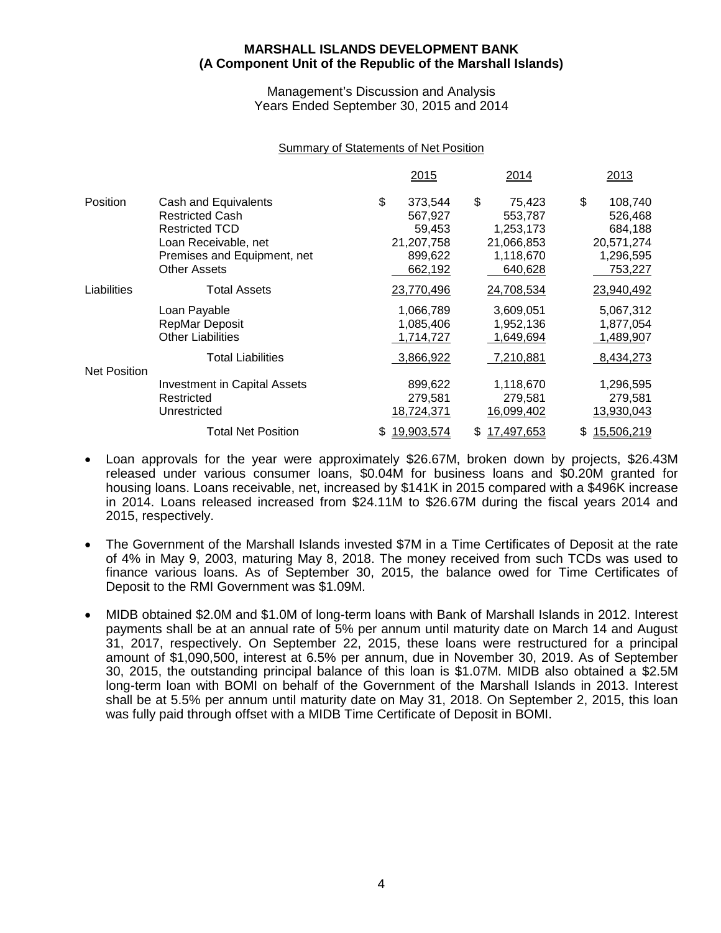Management's Discussion and Analysis Years Ended September 30, 2015 and 2014

Summary of Statements of Net Position

|                     |                                                                                                                                                | 2015                                                                   | 2014                                                                       |    | 2013                                                                |
|---------------------|------------------------------------------------------------------------------------------------------------------------------------------------|------------------------------------------------------------------------|----------------------------------------------------------------------------|----|---------------------------------------------------------------------|
| Position            | Cash and Equivalents<br><b>Restricted Cash</b><br><b>Restricted TCD</b><br>Loan Receivable, net<br>Premises and Equipment, net<br>Other Assets | \$<br>373,544<br>567,927<br>59,453<br>21,207,758<br>899,622<br>662,192 | \$<br>75,423<br>553,787<br>1,253,173<br>21,066,853<br>1,118,670<br>640,628 | \$ | 108,740<br>526,468<br>684,188<br>20,571,274<br>1,296,595<br>753,227 |
| Liabilities         | <b>Total Assets</b>                                                                                                                            | 23,770,496                                                             | 24,708,534                                                                 |    | 23,940,492                                                          |
|                     | Loan Payable<br>RepMar Deposit<br><b>Other Liabilities</b>                                                                                     | 1,066,789<br>1,085,406<br>1,714,727                                    | 3,609,051<br>1,952,136<br>1,649,694                                        |    | 5,067,312<br>1,877,054<br>1,489,907                                 |
| <b>Net Position</b> | <b>Total Liabilities</b>                                                                                                                       | 3,866,922                                                              | 7,210,881                                                                  |    | 8,434,273                                                           |
|                     | <b>Investment in Capital Assets</b><br>Restricted<br>Unrestricted                                                                              | 899,622<br>279,581<br>18,724,371                                       | 1,118,670<br>279,581<br>16,099,402                                         |    | 1,296,595<br>279,581<br>13,930,043                                  |
|                     | <b>Total Net Position</b>                                                                                                                      | 19,903,574                                                             | \$<br>17,497,653                                                           | S  | 15,506,219                                                          |

- Loan approvals for the year were approximately \$26.67M, broken down by projects, \$26.43M released under various consumer loans, \$0.04M for business loans and \$0.20M granted for housing loans. Loans receivable, net, increased by \$141K in 2015 compared with a \$496K increase in 2014. Loans released increased from \$24.11M to \$26.67M during the fiscal years 2014 and 2015, respectively.
- The Government of the Marshall Islands invested \$7M in a Time Certificates of Deposit at the rate of 4% in May 9, 2003, maturing May 8, 2018. The money received from such TCDs was used to finance various loans. As of September 30, 2015, the balance owed for Time Certificates of Deposit to the RMI Government was \$1.09M.
- MIDB obtained \$2.0M and \$1.0M of long-term loans with Bank of Marshall Islands in 2012. Interest payments shall be at an annual rate of 5% per annum until maturity date on March 14 and August 31, 2017, respectively. On September 22, 2015, these loans were restructured for a principal amount of \$1,090,500, interest at 6.5% per annum, due in November 30, 2019. As of September 30, 2015, the outstanding principal balance of this loan is \$1.07M. MIDB also obtained a \$2.5M long-term loan with BOMI on behalf of the Government of the Marshall Islands in 2013. Interest shall be at 5.5% per annum until maturity date on May 31, 2018. On September 2, 2015, this loan was fully paid through offset with a MIDB Time Certificate of Deposit in BOMI.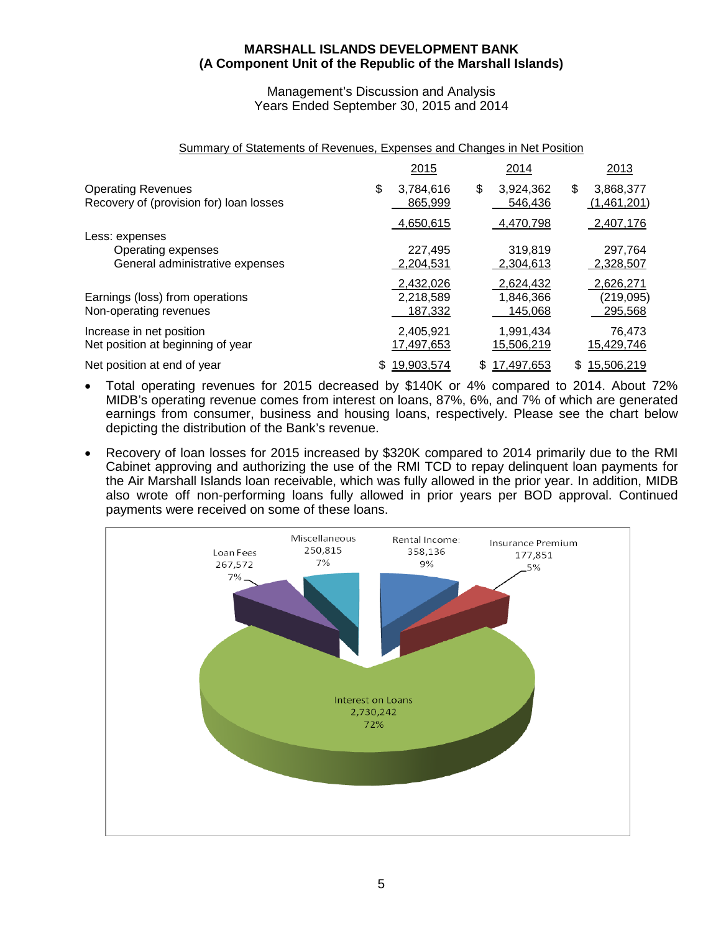Management's Discussion and Analysis Years Ended September 30, 2015 and 2014

| <b>Summary of Statements of Revenues, Expenses and Changes in Net Position</b> |    |                                   |    |                                   |                                    |
|--------------------------------------------------------------------------------|----|-----------------------------------|----|-----------------------------------|------------------------------------|
|                                                                                |    | 2015                              |    | 2014                              | 2013                               |
| <b>Operating Revenues</b><br>Recovery of (provision for) loan losses           | \$ | 3,784,616<br>865.999              | \$ | 3,924,362<br>546,436              | \$<br>3,868,377<br>(1,461,201)     |
| Less: expenses                                                                 |    | 4,650,615                         |    | 4,470,798                         | 2,407,176                          |
| Operating expenses<br>General administrative expenses                          |    | 227,495<br>2,204,531              |    | 319,819<br>2,304,613              | 297,764<br>2,328,507               |
| Earnings (loss) from operations<br>Non-operating revenues                      |    | 2,432,026<br>2,218,589<br>187,332 |    | 2,624,432<br>1,846,366<br>145,068 | 2,626,271<br>(219, 095)<br>295,568 |
| Increase in net position<br>Net position at beginning of year                  |    | 2,405,921<br>17,497,653           |    | 1,991,434<br>15,506,219           | 76,473<br>15,429,746               |
| Net position at end of year                                                    | \$ | 19,903,574                        | \$ | <u>17,497,653</u>                 | \$<br>15,506,219                   |

• Total operating revenues for 2015 decreased by \$140K or 4% compared to 2014. About 72% MIDB's operating revenue comes from interest on loans, 87%, 6%, and 7% of which are generated earnings from consumer, business and housing loans, respectively. Please see the chart below depicting the distribution of the Bank's revenue.

• Recovery of loan losses for 2015 increased by \$320K compared to 2014 primarily due to the RMI Cabinet approving and authorizing the use of the RMI TCD to repay delinquent loan payments for the Air Marshall Islands loan receivable, which was fully allowed in the prior year. In addition, MIDB also wrote off non-performing loans fully allowed in prior years per BOD approval. Continued payments were received on some of these loans.

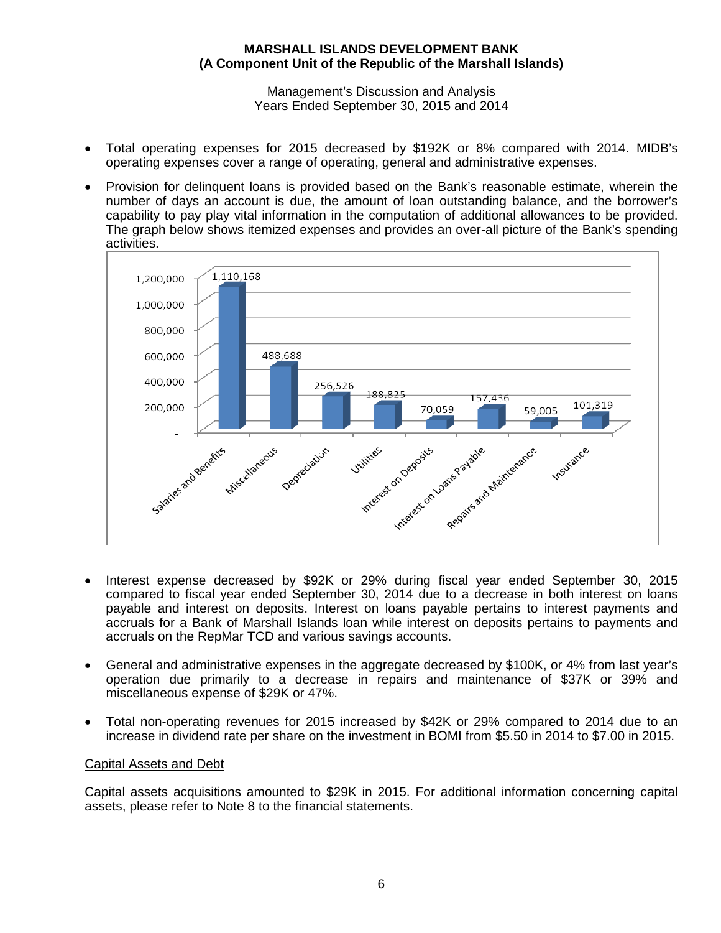Management's Discussion and Analysis Years Ended September 30, 2015 and 2014

- Total operating expenses for 2015 decreased by \$192K or 8% compared with 2014. MIDB's operating expenses cover a range of operating, general and administrative expenses.
- Provision for delinquent loans is provided based on the Bank's reasonable estimate, wherein the number of days an account is due, the amount of loan outstanding balance, and the borrower's capability to pay play vital information in the computation of additional allowances to be provided. The graph below shows itemized expenses and provides an over-all picture of the Bank's spending activities.



- Interest expense decreased by \$92K or 29% during fiscal year ended September 30, 2015 compared to fiscal year ended September 30, 2014 due to a decrease in both interest on loans payable and interest on deposits. Interest on loans payable pertains to interest payments and accruals for a Bank of Marshall Islands loan while interest on deposits pertains to payments and accruals on the RepMar TCD and various savings accounts.
- General and administrative expenses in the aggregate decreased by \$100K, or 4% from last year's operation due primarily to a decrease in repairs and maintenance of \$37K or 39% and miscellaneous expense of \$29K or 47%.
- Total non-operating revenues for 2015 increased by \$42K or 29% compared to 2014 due to an increase in dividend rate per share on the investment in BOMI from \$5.50 in 2014 to \$7.00 in 2015.

# Capital Assets and Debt

Capital assets acquisitions amounted to \$29K in 2015. For additional information concerning capital assets, please refer to Note 8 to the financial statements.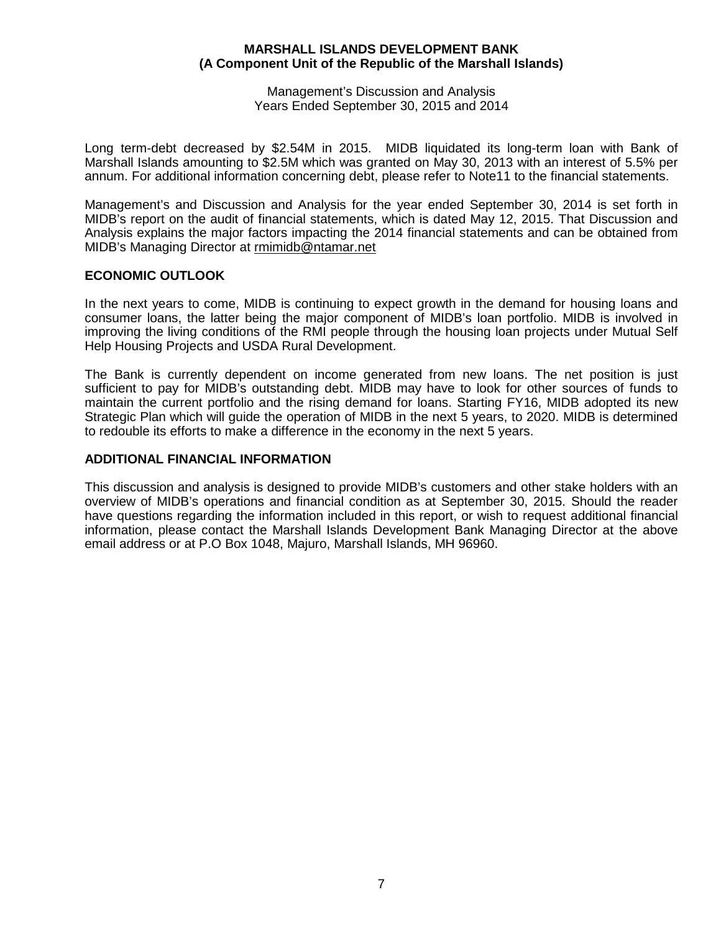Management's Discussion and Analysis Years Ended September 30, 2015 and 2014

Long term-debt decreased by \$2.54M in 2015. MIDB liquidated its long-term loan with Bank of Marshall Islands amounting to \$2.5M which was granted on May 30, 2013 with an interest of 5.5% per annum. For additional information concerning debt, please refer to Note11 to the financial statements.

Management's and Discussion and Analysis for the year ended September 30, 2014 is set forth in MIDB's report on the audit of financial statements, which is dated May 12, 2015. That Discussion and Analysis explains the major factors impacting the 2014 financial statements and can be obtained from MIDB's Managing Director at [rmimidb@ntamar.net](mailto:rmimidb@ntamar.net)

# **ECONOMIC OUTLOOK**

In the next years to come, MIDB is continuing to expect growth in the demand for housing loans and consumer loans, the latter being the major component of MIDB's loan portfolio. MIDB is involved in improving the living conditions of the RMI people through the housing loan projects under Mutual Self Help Housing Projects and USDA Rural Development.

The Bank is currently dependent on income generated from new loans. The net position is just sufficient to pay for MIDB's outstanding debt. MIDB may have to look for other sources of funds to maintain the current portfolio and the rising demand for loans. Starting FY16, MIDB adopted its new Strategic Plan which will guide the operation of MIDB in the next 5 years, to 2020. MIDB is determined to redouble its efforts to make a difference in the economy in the next 5 years.

# **ADDITIONAL FINANCIAL INFORMATION**

This discussion and analysis is designed to provide MIDB's customers and other stake holders with an overview of MIDB's operations and financial condition as at September 30, 2015. Should the reader have questions regarding the information included in this report, or wish to request additional financial information, please contact the Marshall Islands Development Bank Managing Director at the above email address or at P.O Box 1048, Majuro, Marshall Islands, MH 96960.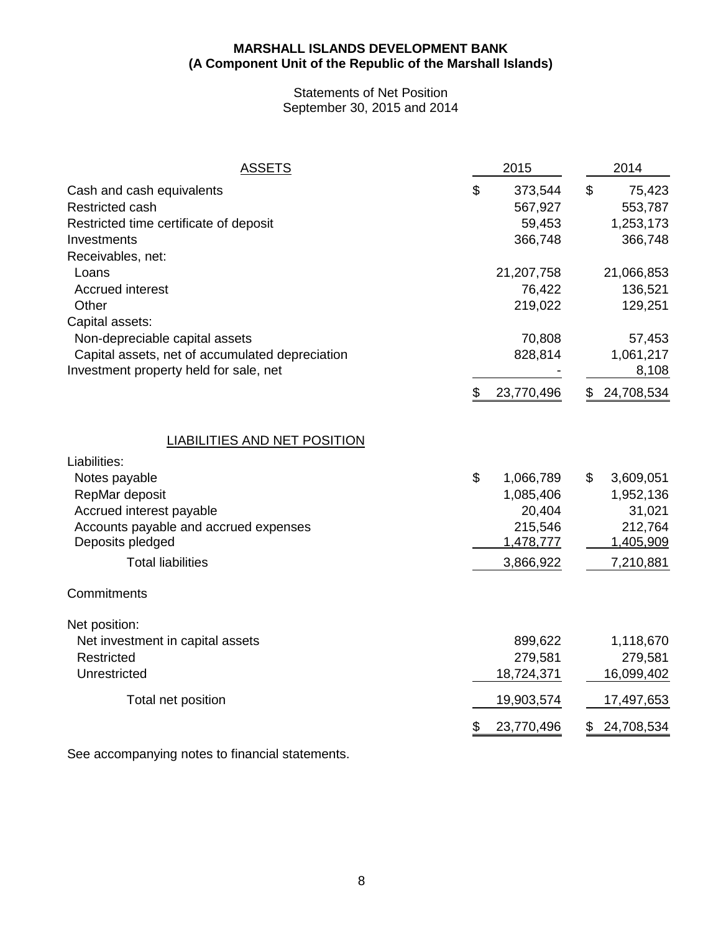# Statements of Net Position September 30, 2015 and 2014

| <b>ASSETS</b>                                   | 2015             |                | 2014       |
|-------------------------------------------------|------------------|----------------|------------|
| Cash and cash equivalents                       | \$<br>373,544    | $\mathfrak{S}$ | 75,423     |
| <b>Restricted cash</b>                          | 567,927          |                | 553,787    |
| Restricted time certificate of deposit          | 59,453           |                | 1,253,173  |
| Investments                                     | 366,748          |                | 366,748    |
| Receivables, net:                               |                  |                |            |
| Loans                                           | 21,207,758       |                | 21,066,853 |
| <b>Accrued interest</b>                         | 76,422           |                | 136,521    |
| Other                                           | 219,022          |                | 129,251    |
| Capital assets:                                 |                  |                |            |
| Non-depreciable capital assets                  | 70,808           |                | 57,453     |
| Capital assets, net of accumulated depreciation | 828,814          |                | 1,061,217  |
| Investment property held for sale, net          |                  |                | 8,108      |
|                                                 | \$<br>23,770,496 | \$             | 24,708,534 |
|                                                 |                  |                |            |
| LIABILITIES AND NET POSITION                    |                  |                |            |
| Liabilities:                                    |                  |                |            |
| Notes payable                                   | \$<br>1,066,789  | \$             | 3,609,051  |
| RepMar deposit                                  | 1,085,406        |                | 1,952,136  |
| Accrued interest payable                        | 20,404           |                | 31,021     |
| Accounts payable and accrued expenses           | 215,546          |                | 212,764    |
| Deposits pledged                                | 1,478,777        |                | 1,405,909  |
| <b>Total liabilities</b>                        | 3,866,922        |                | 7,210,881  |
| Commitments                                     |                  |                |            |
| Net position:                                   |                  |                |            |
| Net investment in capital assets                | 899,622          |                | 1,118,670  |
| Restricted                                      | 279,581          |                | 279,581    |
| Unrestricted                                    | 18,724,371       |                | 16,099,402 |
| Total net position                              | 19,903,574       |                | 17,497,653 |
|                                                 | \$<br>23,770,496 | \$             | 24,708,534 |
|                                                 |                  |                |            |

See accompanying notes to financial statements.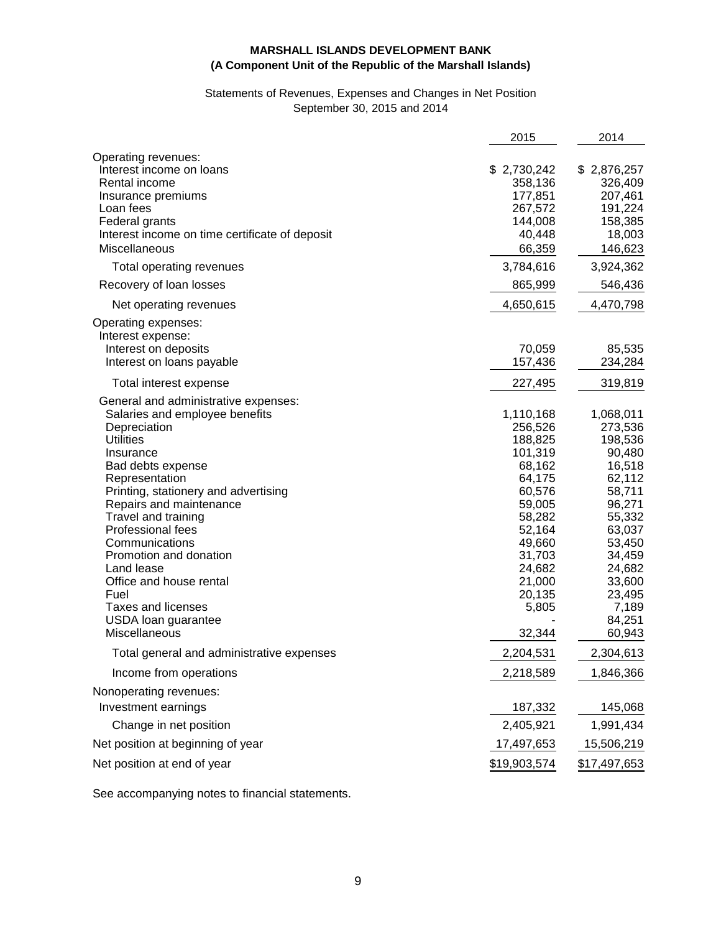# Statements of Revenues, Expenses and Changes in Net Position September 30, 2015 and 2014

|                                                                  | 2015                              | 2014                              |
|------------------------------------------------------------------|-----------------------------------|-----------------------------------|
| Operating revenues:<br>Interest income on loans<br>Rental income | \$2,730,242<br>358,136<br>177,851 | \$2,876,257<br>326,409<br>207,461 |
| Insurance premiums<br>Loan fees                                  | 267,572                           | 191,224                           |
| Federal grants                                                   | 144,008                           | 158,385                           |
| Interest income on time certificate of deposit                   | 40,448                            | 18,003                            |
| Miscellaneous                                                    | 66,359                            | 146,623                           |
| Total operating revenues                                         | 3,784,616                         | 3,924,362                         |
| Recovery of loan losses                                          | 865,999                           | 546,436                           |
| Net operating revenues                                           | 4,650,615                         | 4,470,798                         |
| Operating expenses:<br>Interest expense:<br>Interest on deposits | 70,059                            | 85,535                            |
| Interest on loans payable                                        | 157,436                           | 234,284                           |
| Total interest expense                                           | 227,495                           | 319,819                           |
| General and administrative expenses:                             |                                   |                                   |
| Salaries and employee benefits<br>Depreciation                   | 1,110,168<br>256,526              | 1,068,011<br>273,536              |
| <b>Utilities</b><br>Insurance                                    | 188,825<br>101,319                | 198,536<br>90,480                 |
| Bad debts expense                                                | 68,162                            | 16,518                            |
| Representation                                                   | 64,175                            | 62,112                            |
| Printing, stationery and advertising                             | 60,576                            | 58,711                            |
| Repairs and maintenance                                          | 59,005                            | 96,271                            |
| Travel and training                                              | 58,282                            | 55,332                            |
| Professional fees                                                | 52,164                            | 63,037                            |
| Communications<br>Promotion and donation                         | 49,660<br>31,703                  | 53,450<br>34,459                  |
| Land lease                                                       | 24,682                            | 24,682                            |
| Office and house rental                                          | 21,000                            | 33,600                            |
| Fuel                                                             | 20,135                            | 23,495                            |
| <b>Taxes and licenses</b>                                        | 5,805                             | 7,189                             |
| USDA loan guarantee                                              |                                   | 84,251                            |
| Miscellaneous                                                    | 32,344                            | 60,943                            |
| Total general and administrative expenses                        | 2,204,531                         | 2,304,613                         |
| Income from operations                                           | 2,218,589                         | 1,846,366                         |
| Nonoperating revenues:                                           |                                   |                                   |
| Investment earnings                                              | 187,332                           | 145,068                           |
| Change in net position                                           | 2,405,921                         | 1,991,434                         |
| Net position at beginning of year                                | 17,497,653                        | 15,506,219                        |
| Net position at end of year                                      | \$19,903,574                      | \$17,497,653                      |

See accompanying notes to financial statements.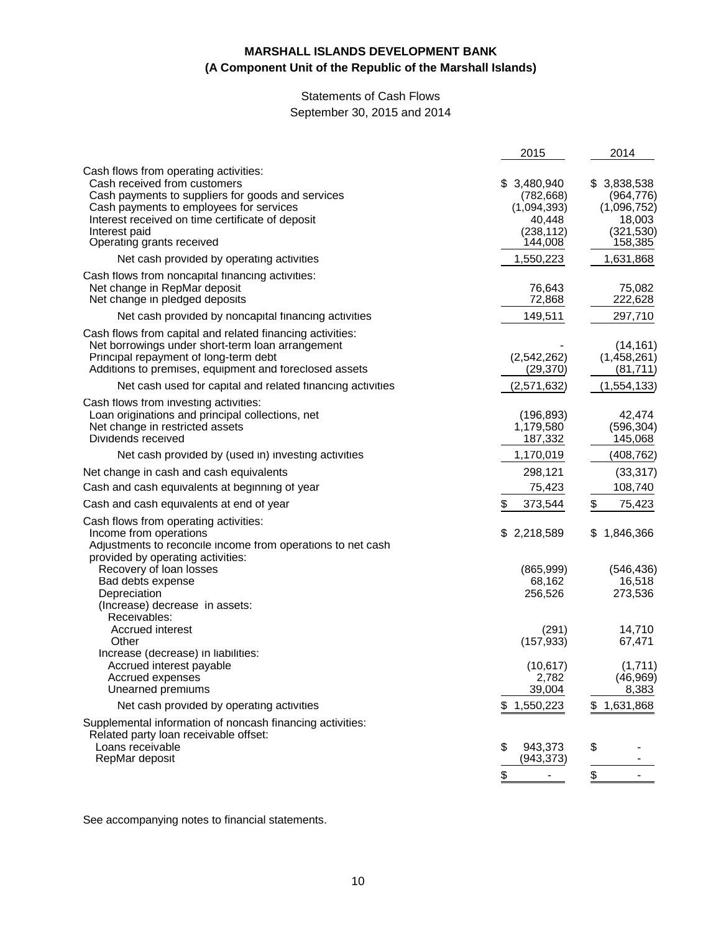# Statements of Cash Flows

September 30, 2015 and 2014

|                                                             | 2015                 | 2014                 |
|-------------------------------------------------------------|----------------------|----------------------|
| Cash flows from operating activities:                       |                      |                      |
| Cash received from customers                                | \$3,480,940          | \$3,838,538          |
| Cash payments to suppliers for goods and services           | (782, 668)           | (964, 776)           |
| Cash payments to employees for services                     | (1,094,393)          | (1,096,752)          |
| Interest received on time certificate of deposit            | 40,448               | 18,003               |
| Interest paid                                               | (238, 112)           | (321, 530)           |
| Operating grants received                                   | 144,008              | 158,385              |
| Net cash provided by operating activities                   | 1,550,223            | 1,631,868            |
| Cash flows from noncapital financing activities:            |                      |                      |
| Net change in RepMar deposit                                | 76,643               | 75,082               |
| Net change in pledged deposits                              | 72,868               | 222,628              |
| Net cash provided by noncapital financing activities        | 149,511              | 297,710              |
| Cash flows from capital and related financing activities:   |                      |                      |
| Net borrowings under short-term loan arrangement            |                      | (14, 161)            |
| Principal repayment of long-term debt                       | (2,542,262)          | (1,458,261)          |
| Additions to premises, equipment and foreclosed assets      | (29, 370)            | (81,711)             |
| Net cash used for capital and related financing activities  | (2,571,632)          | (1, 554, 133)        |
| Cash flows from investing activities:                       |                      |                      |
| Loan originations and principal collections, net            | (196, 893)           | 42,474               |
| Net change in restricted assets                             | 1,179,580            | (596, 304)           |
| Dividends received                                          | 187,332              | 145,068              |
| Net cash provided by (used in) investing activities         | 1,170,019            | (408,762)            |
| Net change in cash and cash equivalents                     | 298,121              | (33, 317)            |
| Cash and cash equivalents at beginning of year              | 75,423               | 108,740              |
| Cash and cash equivalents at end of year                    | 373,544<br>\$        | \$<br>75,423         |
| Cash flows from operating activities:                       |                      |                      |
| Income from operations                                      | 2,218,589<br>S.      | \$<br>1,846,366      |
| Adjustments to reconcile income from operations to net cash |                      |                      |
| provided by operating activities:                           |                      |                      |
| Recovery of loan losses                                     | (865,999)            | (546, 436)           |
| Bad debts expense                                           | 68,162               | 16,518               |
| Depreciation                                                | 256,526              | 273,536              |
| (Increase) decrease in assets:<br>Receivables:              |                      |                      |
| Accrued interest                                            | (291)                | 14,710               |
| Other                                                       | (157, 933)           | 67,471               |
| Increase (decrease) in liabilities:                         |                      |                      |
| Accrued interest payable                                    | (10, 617)            | (1,711)              |
| Accrued expenses                                            | 2,782                | (46, 969)            |
| Unearned premiums                                           | 39,004               | 8,383                |
| Net cash provided by operating activities                   | \$1,550,223          | \$1,631,868          |
| Supplemental information of noncash financing activities:   |                      |                      |
| Related party loan receivable offset:                       |                      |                      |
| Loans receivable                                            | 943,373<br>S         | \$                   |
| RepMar deposit                                              | (943, 373)           |                      |
|                                                             | S.<br>$\blacksquare$ | \$<br>$\blacksquare$ |

See accompanying notes to financial statements.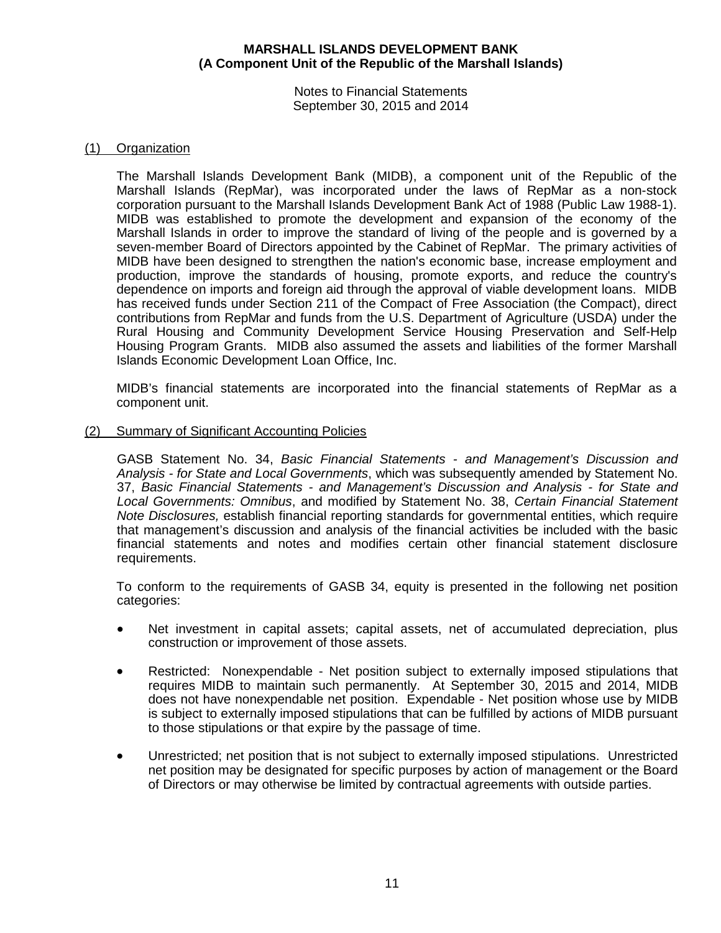Notes to Financial Statements September 30, 2015 and 2014

# (1) Organization

The Marshall Islands Development Bank (MIDB), a component unit of the Republic of the Marshall Islands (RepMar), was incorporated under the laws of RepMar as a non-stock corporation pursuant to the Marshall Islands Development Bank Act of 1988 (Public Law 1988-1). MIDB was established to promote the development and expansion of the economy of the Marshall Islands in order to improve the standard of living of the people and is governed by a seven-member Board of Directors appointed by the Cabinet of RepMar. The primary activities of MIDB have been designed to strengthen the nation's economic base, increase employment and production, improve the standards of housing, promote exports, and reduce the country's dependence on imports and foreign aid through the approval of viable development loans. MIDB has received funds under Section 211 of the Compact of Free Association (the Compact), direct contributions from RepMar and funds from the U.S. Department of Agriculture (USDA) under the Rural Housing and Community Development Service Housing Preservation and Self-Help Housing Program Grants. MIDB also assumed the assets and liabilities of the former Marshall Islands Economic Development Loan Office, Inc.

MIDB's financial statements are incorporated into the financial statements of RepMar as a component unit.

#### (2) Summary of Significant Accounting Policies

GASB Statement No. 34, *Basic Financial Statements - and Management's Discussion and Analysis - for State and Local Governments*, which was subsequently amended by Statement No. 37, *Basic Financial Statements - and Management's Discussion and Analysis - for State and Local Governments: Omnibus*, and modified by Statement No. 38, *Certain Financial Statement Note Disclosures,* establish financial reporting standards for governmental entities, which require that management's discussion and analysis of the financial activities be included with the basic financial statements and notes and modifies certain other financial statement disclosure requirements.

To conform to the requirements of GASB 34, equity is presented in the following net position categories:

- Net investment in capital assets; capital assets, net of accumulated depreciation, plus construction or improvement of those assets.
- Restricted: Nonexpendable Net position subject to externally imposed stipulations that requires MIDB to maintain such permanently. At September 30, 2015 and 2014, MIDB does not have nonexpendable net position. Expendable - Net position whose use by MIDB is subject to externally imposed stipulations that can be fulfilled by actions of MIDB pursuant to those stipulations or that expire by the passage of time.
- Unrestricted; net position that is not subject to externally imposed stipulations. Unrestricted net position may be designated for specific purposes by action of management or the Board of Directors or may otherwise be limited by contractual agreements with outside parties.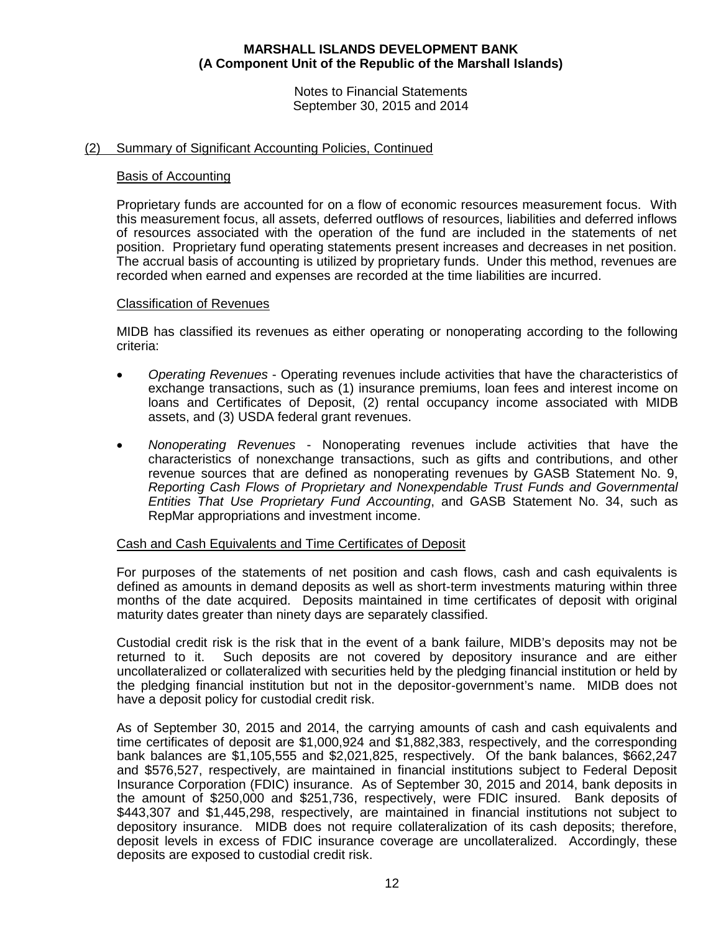Notes to Financial Statements September 30, 2015 and 2014

# (2) Summary of Significant Accounting Policies, Continued

### Basis of Accounting

Proprietary funds are accounted for on a flow of economic resources measurement focus. With this measurement focus, all assets, deferred outflows of resources, liabilities and deferred inflows of resources associated with the operation of the fund are included in the statements of net position. Proprietary fund operating statements present increases and decreases in net position. The accrual basis of accounting is utilized by proprietary funds. Under this method, revenues are recorded when earned and expenses are recorded at the time liabilities are incurred.

#### Classification of Revenues

MIDB has classified its revenues as either operating or nonoperating according to the following criteria:

- *Operating Revenues* Operating revenues include activities that have the characteristics of exchange transactions, such as (1) insurance premiums, loan fees and interest income on loans and Certificates of Deposit, (2) rental occupancy income associated with MIDB assets, and (3) USDA federal grant revenues.
- *Nonoperating Revenues* Nonoperating revenues include activities that have the characteristics of nonexchange transactions, such as gifts and contributions, and other revenue sources that are defined as nonoperating revenues by GASB Statement No. 9, *Reporting Cash Flows of Proprietary and Nonexpendable Trust Funds and Governmental Entities That Use Proprietary Fund Accounting*, and GASB Statement No. 34, such as RepMar appropriations and investment income.

# Cash and Cash Equivalents and Time Certificates of Deposit

For purposes of the statements of net position and cash flows, cash and cash equivalents is defined as amounts in demand deposits as well as short-term investments maturing within three months of the date acquired. Deposits maintained in time certificates of deposit with original maturity dates greater than ninety days are separately classified.

Custodial credit risk is the risk that in the event of a bank failure, MIDB's deposits may not be returned to it. Such deposits are not covered by depository insurance and are either uncollateralized or collateralized with securities held by the pledging financial institution or held by the pledging financial institution but not in the depositor-government's name. MIDB does not have a deposit policy for custodial credit risk.

As of September 30, 2015 and 2014, the carrying amounts of cash and cash equivalents and time certificates of deposit are \$1,000,924 and \$1,882,383, respectively, and the corresponding bank balances are \$1,105,555 and \$2,021,825, respectively. Of the bank balances, \$662,247 and \$576,527, respectively, are maintained in financial institutions subject to Federal Deposit Insurance Corporation (FDIC) insurance. As of September 30, 2015 and 2014, bank deposits in the amount of \$250,000 and \$251,736, respectively, were FDIC insured. Bank deposits of \$443,307 and \$1,445,298, respectively, are maintained in financial institutions not subject to depository insurance. MIDB does not require collateralization of its cash deposits; therefore, deposit levels in excess of FDIC insurance coverage are uncollateralized. Accordingly, these deposits are exposed to custodial credit risk.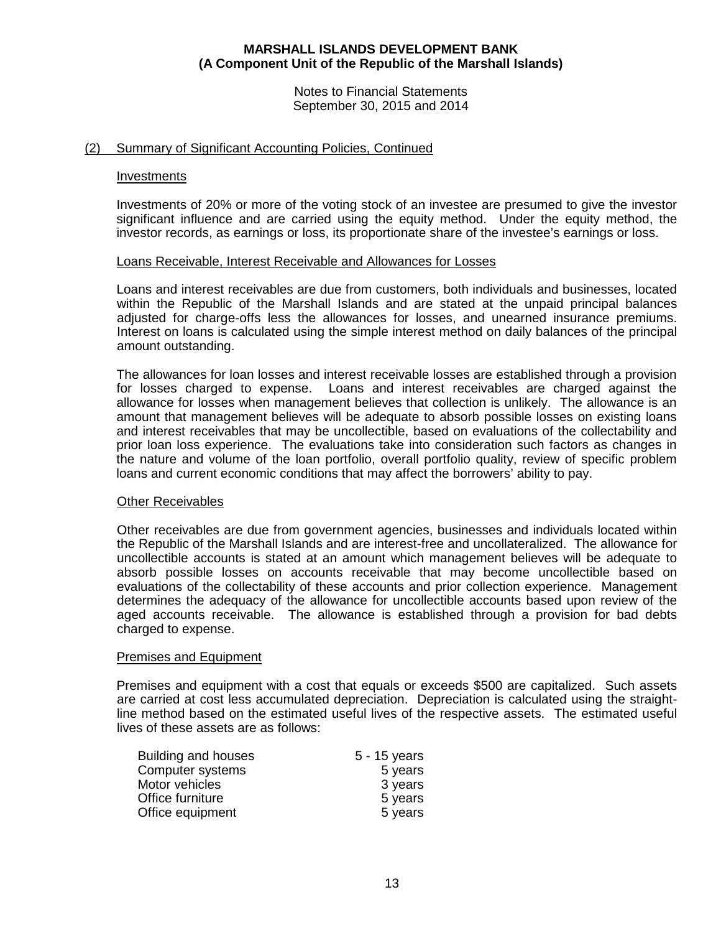Notes to Financial Statements September 30, 2015 and 2014

# (2) Summary of Significant Accounting Policies, Continued

#### **Investments**

Investments of 20% or more of the voting stock of an investee are presumed to give the investor significant influence and are carried using the equity method. Under the equity method, the investor records, as earnings or loss, its proportionate share of the investee's earnings or loss.

#### Loans Receivable, Interest Receivable and Allowances for Losses

Loans and interest receivables are due from customers, both individuals and businesses, located within the Republic of the Marshall Islands and are stated at the unpaid principal balances adjusted for charge-offs less the allowances for losses, and unearned insurance premiums. Interest on loans is calculated using the simple interest method on daily balances of the principal amount outstanding.

The allowances for loan losses and interest receivable losses are established through a provision for losses charged to expense. Loans and interest receivables are charged against the allowance for losses when management believes that collection is unlikely. The allowance is an amount that management believes will be adequate to absorb possible losses on existing loans and interest receivables that may be uncollectible, based on evaluations of the collectability and prior loan loss experience. The evaluations take into consideration such factors as changes in the nature and volume of the loan portfolio, overall portfolio quality, review of specific problem loans and current economic conditions that may affect the borrowers' ability to pay.

# Other Receivables

Other receivables are due from government agencies, businesses and individuals located within the Republic of the Marshall Islands and are interest-free and uncollateralized. The allowance for uncollectible accounts is stated at an amount which management believes will be adequate to absorb possible losses on accounts receivable that may become uncollectible based on evaluations of the collectability of these accounts and prior collection experience. Management determines the adequacy of the allowance for uncollectible accounts based upon review of the aged accounts receivable. The allowance is established through a provision for bad debts charged to expense.

# Premises and Equipment

Premises and equipment with a cost that equals or exceeds \$500 are capitalized. Such assets are carried at cost less accumulated depreciation. Depreciation is calculated using the straightline method based on the estimated useful lives of the respective assets. The estimated useful lives of these assets are as follows:

| Building and houses | $5 - 15$ years |
|---------------------|----------------|
| Computer systems    | 5 years        |
| Motor vehicles      | 3 years        |
| Office furniture    | 5 years        |
| Office equipment    | 5 years        |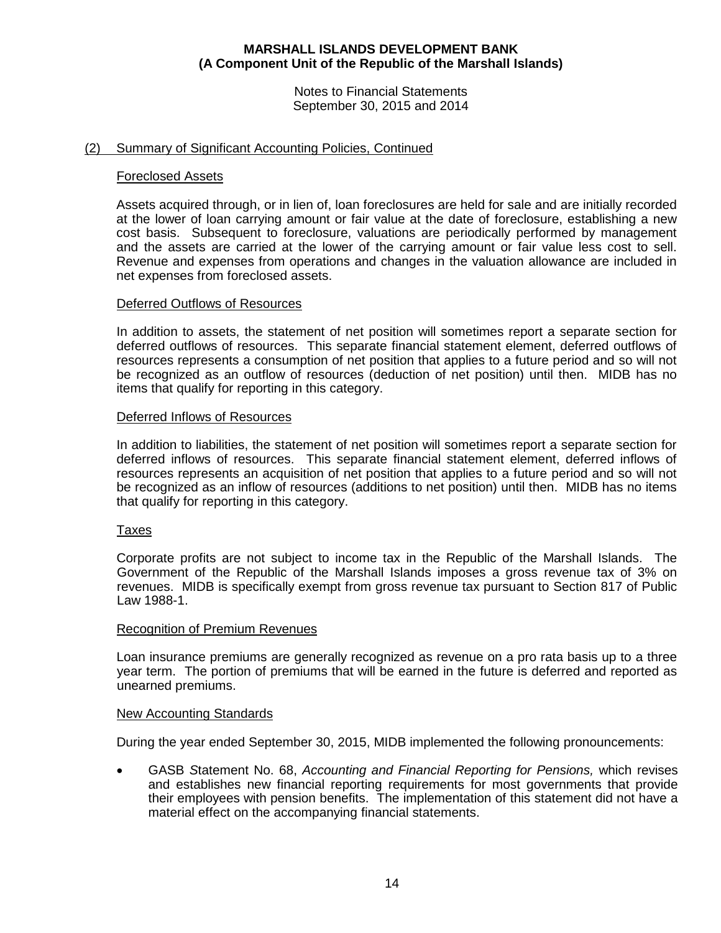Notes to Financial Statements September 30, 2015 and 2014

# (2) Summary of Significant Accounting Policies, Continued

### Foreclosed Assets

Assets acquired through, or in lien of, loan foreclosures are held for sale and are initially recorded at the lower of loan carrying amount or fair value at the date of foreclosure, establishing a new cost basis. Subsequent to foreclosure, valuations are periodically performed by management and the assets are carried at the lower of the carrying amount or fair value less cost to sell. Revenue and expenses from operations and changes in the valuation allowance are included in net expenses from foreclosed assets.

#### Deferred Outflows of Resources

In addition to assets, the statement of net position will sometimes report a separate section for deferred outflows of resources. This separate financial statement element, deferred outflows of resources represents a consumption of net position that applies to a future period and so will not be recognized as an outflow of resources (deduction of net position) until then. MIDB has no items that qualify for reporting in this category.

# Deferred Inflows of Resources

In addition to liabilities, the statement of net position will sometimes report a separate section for deferred inflows of resources. This separate financial statement element, deferred inflows of resources represents an acquisition of net position that applies to a future period and so will not be recognized as an inflow of resources (additions to net position) until then. MIDB has no items that qualify for reporting in this category.

# Taxes

Corporate profits are not subject to income tax in the Republic of the Marshall Islands. The Government of the Republic of the Marshall Islands imposes a gross revenue tax of 3% on revenues. MIDB is specifically exempt from gross revenue tax pursuant to Section 817 of Public Law 1988-1.

#### Recognition of Premium Revenues

Loan insurance premiums are generally recognized as revenue on a pro rata basis up to a three year term. The portion of premiums that will be earned in the future is deferred and reported as unearned premiums.

#### New Accounting Standards

During the year ended September 30, 2015, MIDB implemented the following pronouncements:

• GASB *S*tatement No. 68, *Accounting and Financial Reporting for Pensions,* which revises and establishes new financial reporting requirements for most governments that provide their employees with pension benefits. The implementation of this statement did not have a material effect on the accompanying financial statements.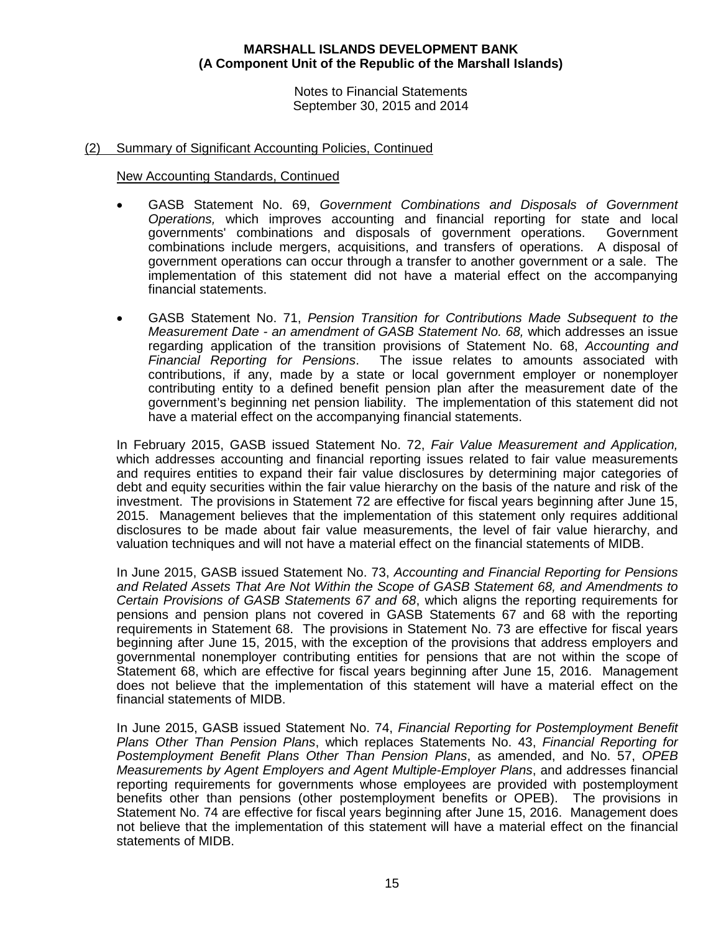Notes to Financial Statements September 30, 2015 and 2014

# (2) Summary of Significant Accounting Policies, Continued

### New Accounting Standards, Continued

- GASB Statement No. 69, *Government Combinations and Disposals of Government Operations,* which improves accounting and financial reporting for state and local governments' combinations and disposals of government operations. Government combinations include mergers, acquisitions, and transfers of operations. A disposal of government operations can occur through a transfer to another government or a sale. The implementation of this statement did not have a material effect on the accompanying financial statements.
- GASB Statement No. 71, *Pension Transition for Contributions Made Subsequent to the Measurement Date - an amendment of GASB Statement No. 68,* which addresses an issue regarding application of the transition provisions of Statement No. 68, *Accounting and Financial Reporting for Pensions*. The issue relates to amounts associated with contributions, if any, made by a state or local government employer or nonemployer contributing entity to a defined benefit pension plan after the measurement date of the government's beginning net pension liability. The implementation of this statement did not have a material effect on the accompanying financial statements.

In February 2015, GASB issued Statement No. 72, *Fair Value Measurement and Application,*  which addresses accounting and financial reporting issues related to fair value measurements and requires entities to expand their fair value disclosures by determining major categories of debt and equity securities within the fair value hierarchy on the basis of the nature and risk of the investment. The provisions in Statement 72 are effective for fiscal years beginning after June 15, 2015. Management believes that the implementation of this statement only requires additional disclosures to be made about fair value measurements, the level of fair value hierarchy, and valuation techniques and will not have a material effect on the financial statements of MIDB.

In June 2015, GASB issued Statement No. 73, *Accounting and Financial Reporting for Pensions and Related Assets That Are Not Within the Scope of GASB Statement 68, and Amendments to Certain Provisions of GASB Statements 67 and 68*, which aligns the reporting requirements for pensions and pension plans not covered in GASB Statements 67 and 68 with the reporting requirements in Statement 68. The provisions in Statement No. 73 are effective for fiscal years beginning after June 15, 2015, with the exception of the provisions that address employers and governmental nonemployer contributing entities for pensions that are not within the scope of Statement 68, which are effective for fiscal years beginning after June 15, 2016. Management does not believe that the implementation of this statement will have a material effect on the financial statements of MIDB.

In June 2015, GASB issued Statement No. 74, *Financial Reporting for Postemployment Benefit Plans Other Than Pension Plans*, which replaces Statements No. 43, *Financial Reporting for Postemployment Benefit Plans Other Than Pension Plans*, as amended, and No. 57, *OPEB Measurements by Agent Employers and Agent Multiple-Employer Plans*, and addresses financial reporting requirements for governments whose employees are provided with postemployment benefits other than pensions (other postemployment benefits or OPEB). The provisions in Statement No. 74 are effective for fiscal years beginning after June 15, 2016. Management does not believe that the implementation of this statement will have a material effect on the financial statements of MIDB.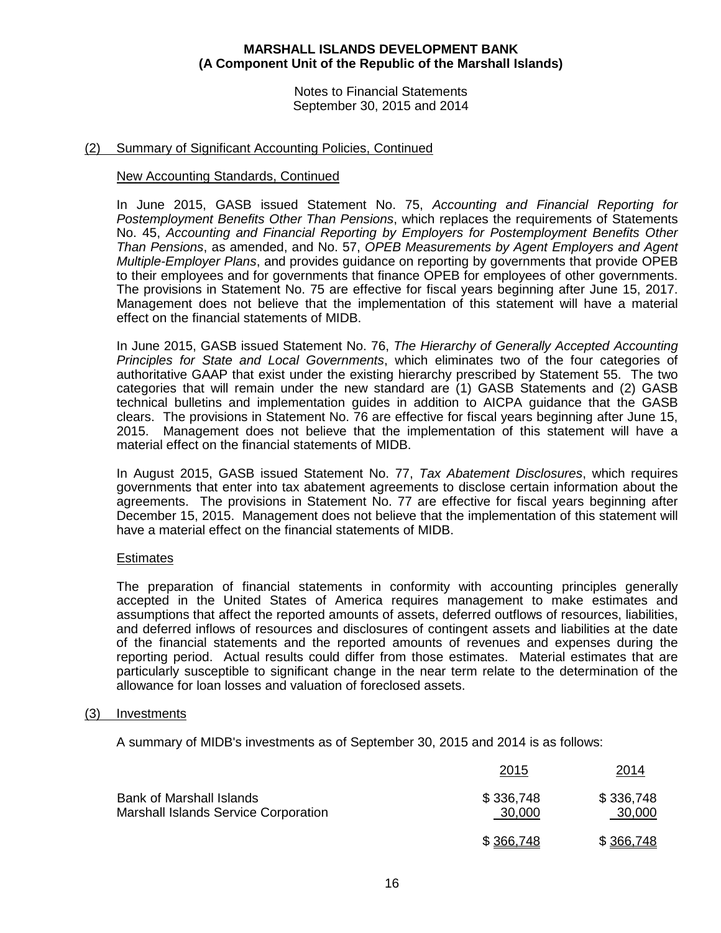Notes to Financial Statements September 30, 2015 and 2014

# (2) Summary of Significant Accounting Policies, Continued

#### New Accounting Standards, Continued

In June 2015, GASB issued Statement No. 75, *Accounting and Financial Reporting for Postemployment Benefits Other Than Pensions*, which replaces the requirements of Statements No. 45, *Accounting and Financial Reporting by Employers for Postemployment Benefits Other Than Pensions*, as amended, and No. 57, *OPEB Measurements by Agent Employers and Agent Multiple-Employer Plans*, and provides guidance on reporting by governments that provide OPEB to their employees and for governments that finance OPEB for employees of other governments. The provisions in Statement No. 75 are effective for fiscal years beginning after June 15, 2017. Management does not believe that the implementation of this statement will have a material effect on the financial statements of MIDB.

In June 2015, GASB issued Statement No. 76, *The Hierarchy of Generally Accepted Accounting Principles for State and Local Governments*, which eliminates two of the four categories of authoritative GAAP that exist under the existing hierarchy prescribed by Statement 55. The two categories that will remain under the new standard are (1) GASB Statements and (2) GASB technical bulletins and implementation guides in addition to AICPA guidance that the GASB clears. The provisions in Statement No. 76 are effective for fiscal years beginning after June 15, 2015. Management does not believe that the implementation of this statement will have a material effect on the financial statements of MIDB.

In August 2015, GASB issued Statement No. 77, *Tax Abatement Disclosures*, which requires governments that enter into tax abatement agreements to disclose certain information about the agreements. The provisions in Statement No. 77 are effective for fiscal years beginning after December 15, 2015. Management does not believe that the implementation of this statement will have a material effect on the financial statements of MIDB.

# **Estimates**

The preparation of financial statements in conformity with accounting principles generally accepted in the United States of America requires management to make estimates and assumptions that affect the reported amounts of assets, deferred outflows of resources, liabilities, and deferred inflows of resources and disclosures of contingent assets and liabilities at the date of the financial statements and the reported amounts of revenues and expenses during the reporting period. Actual results could differ from those estimates. Material estimates that are particularly susceptible to significant change in the near term relate to the determination of the allowance for loan losses and valuation of foreclosed assets.

### (3) Investments

A summary of MIDB's investments as of September 30, 2015 and 2014 is as follows:

|                                                                                | 2015                | 2014                |
|--------------------------------------------------------------------------------|---------------------|---------------------|
| <b>Bank of Marshall Islands</b><br><b>Marshall Islands Service Corporation</b> | \$336,748<br>30,000 | \$336,748<br>30,000 |
|                                                                                | \$366,748           | \$366,748           |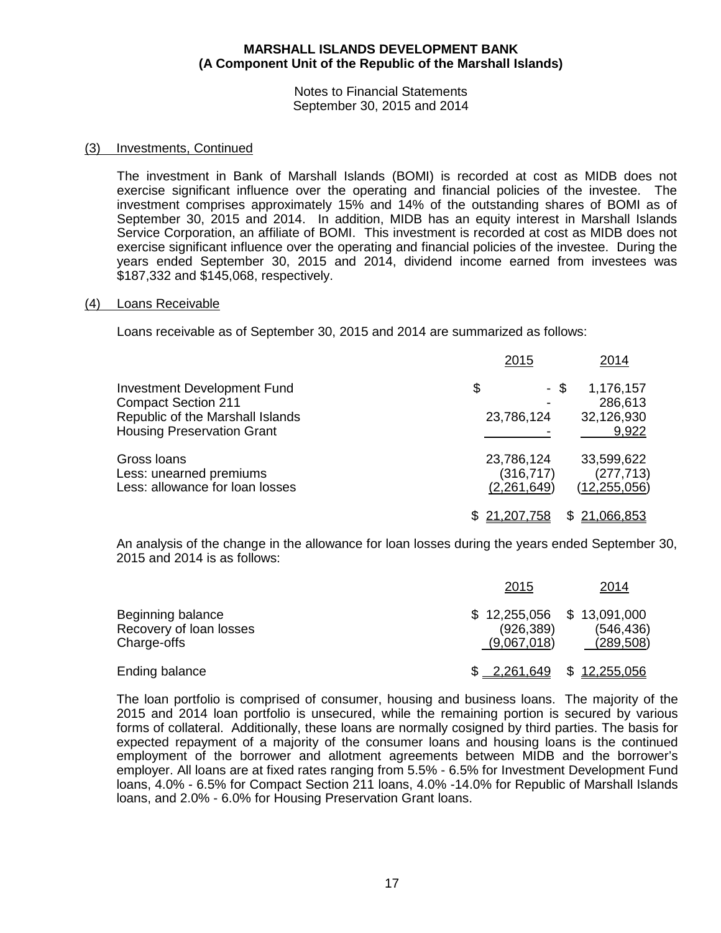Notes to Financial Statements September 30, 2015 and 2014

#### (3) Investments, Continued

The investment in Bank of Marshall Islands (BOMI) is recorded at cost as MIDB does not exercise significant influence over the operating and financial policies of the investee. The investment comprises approximately 15% and 14% of the outstanding shares of BOMI as of September 30, 2015 and 2014. In addition, MIDB has an equity interest in Marshall Islands Service Corporation, an affiliate of BOMI. This investment is recorded at cost as MIDB does not exercise significant influence over the operating and financial policies of the investee. During the years ended September 30, 2015 and 2014, dividend income earned from investees was \$187,332 and \$145,068, respectively.

#### (4) Loans Receivable

Loans receivable as of September 30, 2015 and 2014 are summarized as follows:

|                                                                                                                                           | 2015                                    | 2014                                        |
|-------------------------------------------------------------------------------------------------------------------------------------------|-----------------------------------------|---------------------------------------------|
| <b>Investment Development Fund</b><br><b>Compact Section 211</b><br>Republic of the Marshall Islands<br><b>Housing Preservation Grant</b> | \$<br>- \$<br>23,786,124                | 1,176,157<br>286,613<br>32,126,930<br>9,922 |
| Gross Ioans<br>Less: unearned premiums<br>Less: allowance for loan losses                                                                 | 23,786,124<br>(316, 717)<br>(2,261,649) | 33,599,622<br>(277, 713)<br>(12, 255, 056)  |
|                                                                                                                                           | 21,207,758                              | 21,066,853                                  |

An analysis of the change in the allowance for loan losses during the years ended September 30, 2015 and 2014 is as follows:

|                                                             | 2015                      | 2014                                                    |
|-------------------------------------------------------------|---------------------------|---------------------------------------------------------|
| Beginning balance<br>Recovery of loan losses<br>Charge-offs | (926, 389)<br>(9,067,018) | $$12,255,056$ $$13,091,000$<br>(546, 436)<br>(289, 508) |
| Ending balance                                              | 2,261,649                 | \$12,255,056                                            |

The loan portfolio is comprised of consumer, housing and business loans. The majority of the 2015 and 2014 loan portfolio is unsecured, while the remaining portion is secured by various forms of collateral. Additionally, these loans are normally cosigned by third parties. The basis for expected repayment of a majority of the consumer loans and housing loans is the continued employment of the borrower and allotment agreements between MIDB and the borrower's employer. All loans are at fixed rates ranging from 5.5% - 6.5% for Investment Development Fund loans, 4.0% - 6.5% for Compact Section 211 loans, 4.0% -14.0% for Republic of Marshall Islands loans, and 2.0% - 6.0% for Housing Preservation Grant loans.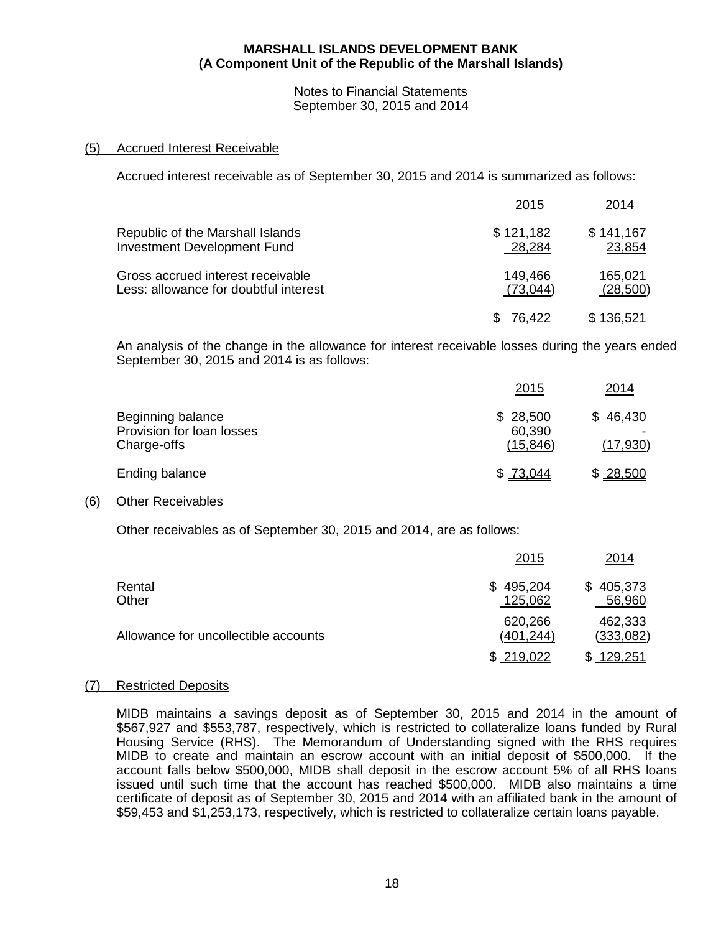Notes to Financial Statements September 30, 2015 and 2014

# (5) Accrued Interest Receivable

Accrued interest receivable as of September 30, 2015 and 2014 is summarized as follows:

|                                       | 2015          | 2014      |
|---------------------------------------|---------------|-----------|
| Republic of the Marshall Islands      | \$121,182     | \$141,167 |
| <b>Investment Development Fund</b>    | 28,284        | 23,854    |
| Gross accrued interest receivable     | 149,466       | 165,021   |
| Less: allowance for doubtful interest | (73, 044)     | (28,500)  |
|                                       | <u>76,422</u> | \$136,521 |

An analysis of the change in the allowance for interest receivable losses during the years ended September 30, 2015 and 2014 is as follows:

|                                                               | 2015                            | 2014                 |
|---------------------------------------------------------------|---------------------------------|----------------------|
| Beginning balance<br>Provision for loan losses<br>Charge-offs | \$28,500<br>60,390<br>(15, 846) | \$46,430<br>(17,930) |
| Ending balance                                                | \$73,044                        | \$28,500             |

#### (6) Other Receivables

Other receivables as of September 30, 2015 and 2014, are as follows:

|                                      | <u>2015</u>               | <u> 2014</u>         |
|--------------------------------------|---------------------------|----------------------|
| Rental<br>Other                      | 495,204<br>\$.<br>125,062 | \$405,373<br>56,960  |
| Allowance for uncollectible accounts | 620,266<br>(401, 244)     | 462,333<br>(333,082) |
|                                      | 219,022<br>£.             | \$ 129,251           |

# (7) Restricted Deposits

MIDB maintains a savings deposit as of September 30, 2015 and 2014 in the amount of \$567,927 and \$553,787, respectively, which is restricted to collateralize loans funded by Rural Housing Service (RHS). The Memorandum of Understanding signed with the RHS requires MIDB to create and maintain an escrow account with an initial deposit of \$500,000. If the account falls below \$500,000, MIDB shall deposit in the escrow account 5% of all RHS loans issued until such time that the account has reached \$500,000. MIDB also maintains a time certificate of deposit as of September 30, 2015 and 2014 with an affiliated bank in the amount of \$59,453 and \$1,253,173, respectively, which is restricted to collateralize certain loans payable.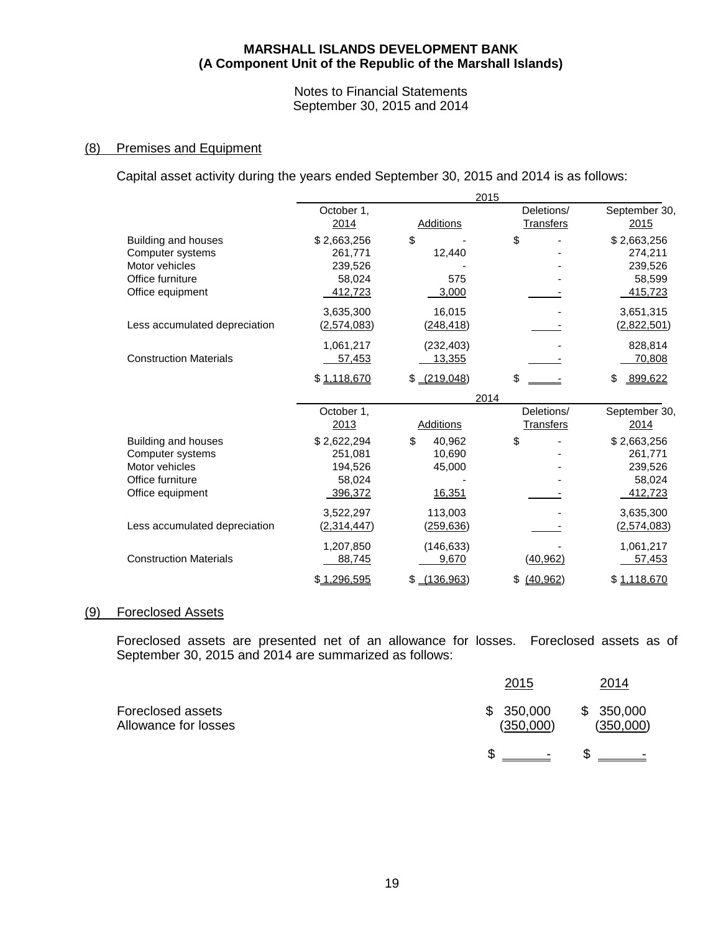Notes to Financial Statements September 30, 2015 and 2014

# (8) Premises and Equipment

Capital asset activity during the years ended September 30, 2015 and 2014 is as follows:

|                               | 2015          |                  |                  |               |  |  |  |
|-------------------------------|---------------|------------------|------------------|---------------|--|--|--|
|                               | October 1,    |                  | Deletions/       | September 30, |  |  |  |
|                               | 2014          | <b>Additions</b> | <b>Transfers</b> | 2015          |  |  |  |
| Building and houses           | \$2,663,256   | \$               | \$               | \$2,663,256   |  |  |  |
| Computer systems              | 261,771       | 12,440           |                  | 274,211       |  |  |  |
| Motor vehicles                | 239,526       |                  |                  | 239,526       |  |  |  |
| Office furniture              | 58,024        | 575              |                  | 58,599        |  |  |  |
| Office equipment              | 412,723       | 3,000            |                  | 415,723       |  |  |  |
|                               | 3,635,300     | 16,015           |                  | 3,651,315     |  |  |  |
| Less accumulated depreciation | (2,574,083)   | (248, 418)       |                  | (2,822,501)   |  |  |  |
|                               | 1,061,217     | (232, 403)       |                  | 828,814       |  |  |  |
| <b>Construction Materials</b> | <u>57,453</u> | <u>13,355</u>    |                  | 70,808        |  |  |  |
|                               | \$1,118,670   | \$ (219,048)     | \$               | 899,622<br>\$ |  |  |  |
|                               |               | 2014             |                  |               |  |  |  |
|                               | October 1,    |                  | Deletions/       | September 30, |  |  |  |
|                               | 2013          | <b>Additions</b> | <b>Transfers</b> | 2014          |  |  |  |
| Building and houses           | \$2,622,294   | \$<br>40,962     | \$               | \$2,663,256   |  |  |  |
| Computer systems              | 251,081       | 10,690           |                  | 261,771       |  |  |  |
| Motor vehicles                | 194,526       | 45,000           |                  | 239,526       |  |  |  |
| Office furniture              | 58,024        |                  |                  | 58,024        |  |  |  |
| Office equipment              | 396,372       | 16,351           |                  | 412,723       |  |  |  |
|                               | 3,522,297     | 113,003          |                  | 3,635,300     |  |  |  |
| Less accumulated depreciation | (2,314,447)   | (259, 636)       |                  | (2, 574, 083) |  |  |  |
|                               | 1,207,850     | (146, 633)       |                  | 1,061,217     |  |  |  |
| <b>Construction Materials</b> | 88,745        | 9,670            | <u>(40,962)</u>  | 57,453        |  |  |  |
|                               | \$1,296,595   | (136, 963)<br>\$ | (40, 962)<br>\$  | \$1,118,670   |  |  |  |

### (9) Foreclosed Assets

Foreclosed assets are presented net of an allowance for losses. Foreclosed assets as of September 30, 2015 and 2014 are summarized as follows:

|                                           | $\frac{1}{2}$          | <b>Service Contract Contract Contract</b> |
|-------------------------------------------|------------------------|-------------------------------------------|
| Foreclosed assets<br>Allowance for losses | \$350,000<br>(350,000) | \$350,000<br>(350,000)                    |
|                                           | 2015                   | 2014                                      |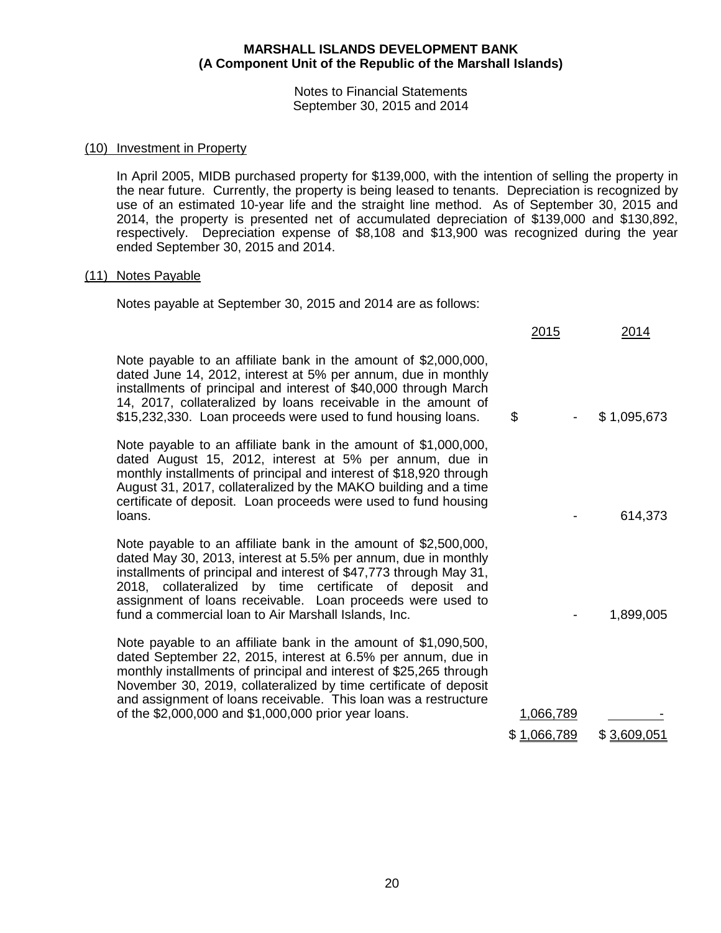Notes to Financial Statements September 30, 2015 and 2014

#### (10) Investment in Property

In April 2005, MIDB purchased property for \$139,000, with the intention of selling the property in the near future. Currently, the property is being leased to tenants. Depreciation is recognized by use of an estimated 10-year life and the straight line method. As of September 30, 2015 and 2014, the property is presented net of accumulated depreciation of \$139,000 and \$130,892, respectively. Depreciation expense of \$8,108 and \$13,900 was recognized during the year ended September 30, 2015 and 2014.

#### (11) Notes Payable

Notes payable at September 30, 2015 and 2014 are as follows:

|                                                                                                                                                                                                                                                                                                                                                                                                      | 2015        | 2014        |
|------------------------------------------------------------------------------------------------------------------------------------------------------------------------------------------------------------------------------------------------------------------------------------------------------------------------------------------------------------------------------------------------------|-------------|-------------|
| Note payable to an affiliate bank in the amount of \$2,000,000,<br>dated June 14, 2012, interest at 5% per annum, due in monthly<br>installments of principal and interest of \$40,000 through March<br>14, 2017, collateralized by loans receivable in the amount of<br>\$15,232,330. Loan proceeds were used to fund housing loans.                                                                | \$          | \$1,095,673 |
| Note payable to an affiliate bank in the amount of \$1,000,000,<br>dated August 15, 2012, interest at 5% per annum, due in<br>monthly installments of principal and interest of \$18,920 through<br>August 31, 2017, collateralized by the MAKO building and a time<br>certificate of deposit. Loan proceeds were used to fund housing<br>loans.                                                     |             | 614,373     |
| Note payable to an affiliate bank in the amount of \$2,500,000,<br>dated May 30, 2013, interest at 5.5% per annum, due in monthly<br>installments of principal and interest of \$47,773 through May 31,<br>2018, collateralized by time certificate of deposit and<br>assignment of loans receivable. Loan proceeds were used to<br>fund a commercial loan to Air Marshall Islands, Inc.             |             | 1,899,005   |
| Note payable to an affiliate bank in the amount of \$1,090,500,<br>dated September 22, 2015, interest at 6.5% per annum, due in<br>monthly installments of principal and interest of \$25,265 through<br>November 30, 2019, collateralized by time certificate of deposit<br>and assignment of loans receivable. This loan was a restructure<br>of the \$2,000,000 and \$1,000,000 prior year loans. | 1,066,789   |             |
|                                                                                                                                                                                                                                                                                                                                                                                                      | \$1,066,789 | \$3,609,051 |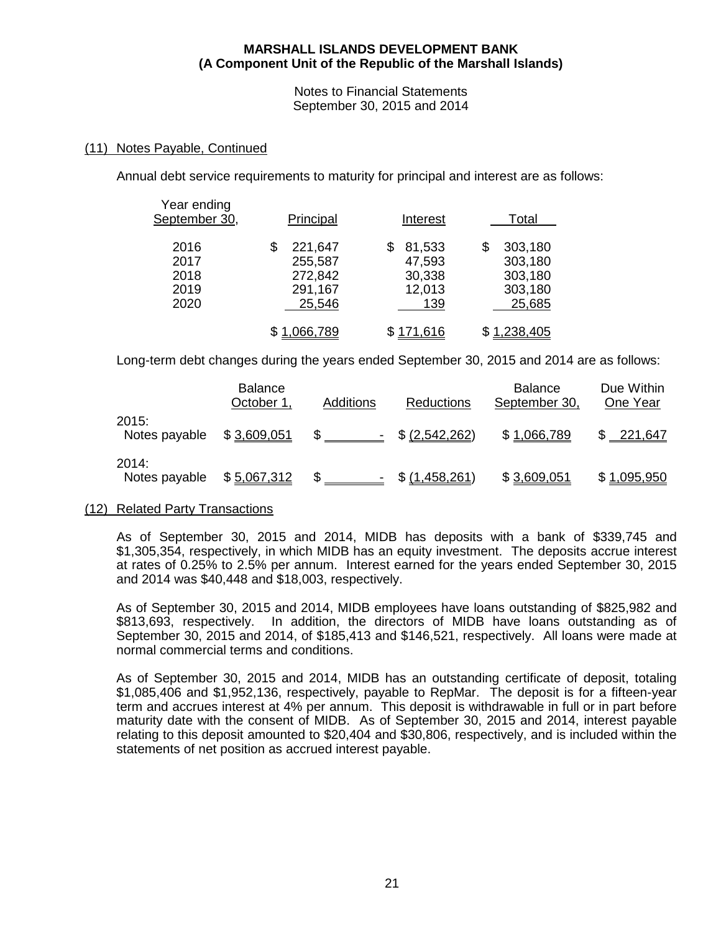Notes to Financial Statements September 30, 2015 and 2014

# (11) Notes Payable, Continued

Annual debt service requirements to maturity for principal and interest are as follows:

| Year ending<br>September 30,         | Principal                                          | Interest                                    | Total                                                   |
|--------------------------------------|----------------------------------------------------|---------------------------------------------|---------------------------------------------------------|
| 2016<br>2017<br>2018<br>2019<br>2020 | 221,647<br>255,587<br>272,842<br>291,167<br>25,546 | 81,533<br>47,593<br>30,338<br>12,013<br>139 | 303,180<br>S<br>303,180<br>303,180<br>303,180<br>25,685 |
|                                      | \$1,066,789                                        | \$171,616                                   | \$1,238,405                                             |

Long-term debt changes during the years ended September 30, 2015 and 2014 are as follows:

|                        | <b>Balance</b><br>October 1 | Additions | Reductions                      | <b>Balance</b><br>September 30, | Due Within<br>One Year |
|------------------------|-----------------------------|-----------|---------------------------------|---------------------------------|------------------------|
| 2015:<br>Notes payable | \$3,609,051                 |           | <u>-</u> \$ <u>(2,542,262</u> ) | \$1,066,789                     | 221,647                |
| 2014:<br>Notes payable | \$5,067,312                 |           | \$ (1,458,261)                  | \$3,609,051                     | \$1,095,950            |

# (12) Related Party Transactions

As of September 30, 2015 and 2014, MIDB has deposits with a bank of \$339,745 and \$1,305,354, respectively, in which MIDB has an equity investment. The deposits accrue interest at rates of 0.25% to 2.5% per annum. Interest earned for the years ended September 30, 2015 and 2014 was \$40,448 and \$18,003, respectively.

As of September 30, 2015 and 2014, MIDB employees have loans outstanding of \$825,982 and \$813,693, respectively. In addition, the directors of MIDB have loans outstanding as of September 30, 2015 and 2014, of \$185,413 and \$146,521, respectively. All loans were made at normal commercial terms and conditions.

As of September 30, 2015 and 2014, MIDB has an outstanding certificate of deposit, totaling \$1,085,406 and \$1,952,136, respectively, payable to RepMar. The deposit is for a fifteen-year term and accrues interest at 4% per annum. This deposit is withdrawable in full or in part before maturity date with the consent of MIDB. As of September 30, 2015 and 2014, interest payable relating to this deposit amounted to \$20,404 and \$30,806, respectively, and is included within the statements of net position as accrued interest payable.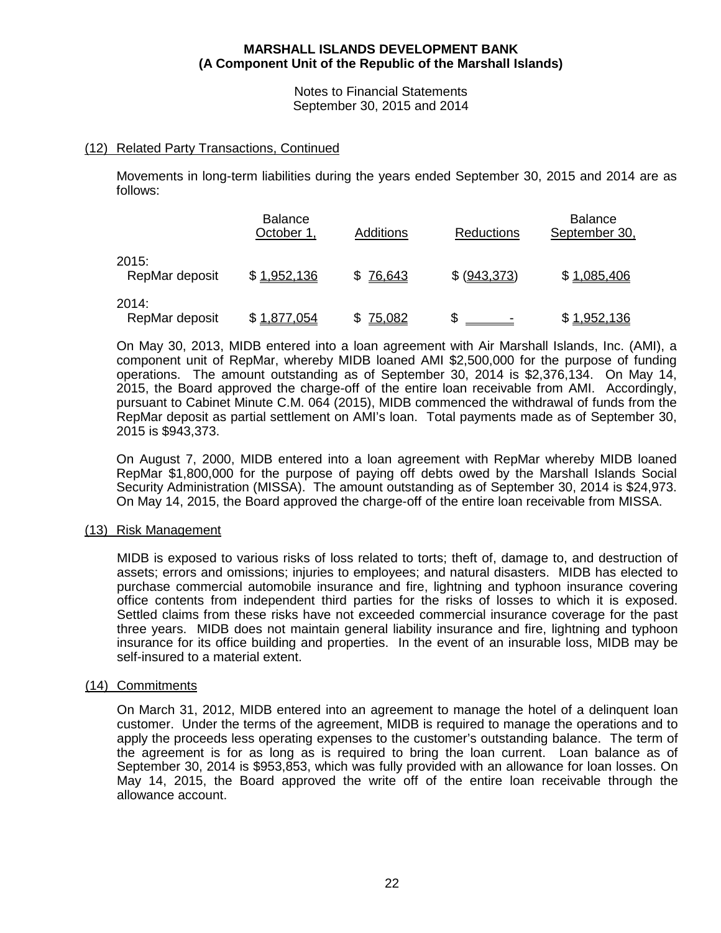Notes to Financial Statements September 30, 2015 and 2014

# (12) Related Party Transactions, Continued

Movements in long-term liabilities during the years ended September 30, 2015 and 2014 are as follows:

|                         | <b>Balance</b><br>October 1 | <b>Additions</b>   | <b>Reductions</b> | <b>Balance</b><br>September 30, |
|-------------------------|-----------------------------|--------------------|-------------------|---------------------------------|
| 2015:<br>RepMar deposit | \$1,952,136                 | <u>76,643</u><br>S | \$ (943.373)      | \$1,085,406                     |
| 2014:<br>RepMar deposit | \$1,877,054                 | 75,082<br>S        | S                 | \$1,952,136                     |

On May 30, 2013, MIDB entered into a loan agreement with Air Marshall Islands, Inc. (AMI), a component unit of RepMar, whereby MIDB loaned AMI \$2,500,000 for the purpose of funding operations. The amount outstanding as of September 30, 2014 is \$2,376,134. On May 14, 2015, the Board approved the charge-off of the entire loan receivable from AMI. Accordingly, pursuant to Cabinet Minute C.M. 064 (2015), MIDB commenced the withdrawal of funds from the RepMar deposit as partial settlement on AMI's loan. Total payments made as of September 30, 2015 is \$943,373.

On August 7, 2000, MIDB entered into a loan agreement with RepMar whereby MIDB loaned RepMar \$1,800,000 for the purpose of paying off debts owed by the Marshall Islands Social Security Administration (MISSA). The amount outstanding as of September 30, 2014 is \$24,973. On May 14, 2015, the Board approved the charge-off of the entire loan receivable from MISSA.

# (13) Risk Management

MIDB is exposed to various risks of loss related to torts; theft of, damage to, and destruction of assets; errors and omissions; injuries to employees; and natural disasters. MIDB has elected to purchase commercial automobile insurance and fire, lightning and typhoon insurance covering office contents from independent third parties for the risks of losses to which it is exposed. Settled claims from these risks have not exceeded commercial insurance coverage for the past three years. MIDB does not maintain general liability insurance and fire, lightning and typhoon insurance for its office building and properties. In the event of an insurable loss, MIDB may be self-insured to a material extent.

# (14) Commitments

On March 31, 2012, MIDB entered into an agreement to manage the hotel of a delinquent loan customer. Under the terms of the agreement, MIDB is required to manage the operations and to apply the proceeds less operating expenses to the customer's outstanding balance. The term of the agreement is for as long as is required to bring the loan current. Loan balance as of September 30, 2014 is \$953,853, which was fully provided with an allowance for loan losses. On May 14, 2015, the Board approved the write off of the entire loan receivable through the allowance account.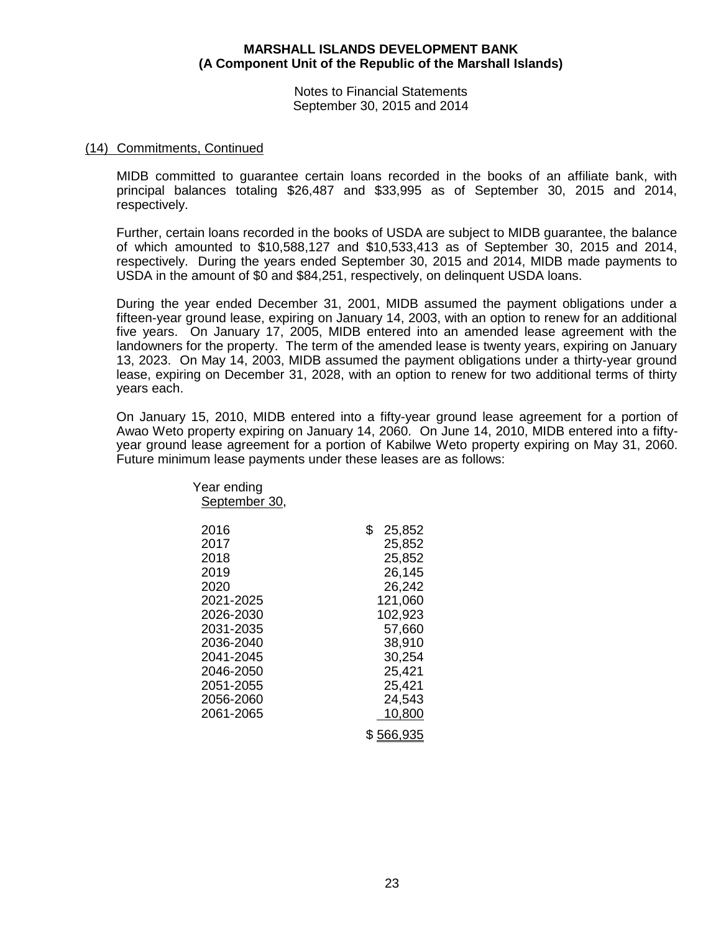Notes to Financial Statements September 30, 2015 and 2014

#### (14) Commitments, Continued

MIDB committed to guarantee certain loans recorded in the books of an affiliate bank, with principal balances totaling \$26,487 and \$33,995 as of September 30, 2015 and 2014, respectively.

Further, certain loans recorded in the books of USDA are subject to MIDB guarantee, the balance of which amounted to \$10,588,127 and \$10,533,413 as of September 30, 2015 and 2014, respectively. During the years ended September 30, 2015 and 2014, MIDB made payments to USDA in the amount of \$0 and \$84,251, respectively, on delinquent USDA loans.

During the year ended December 31, 2001, MIDB assumed the payment obligations under a fifteen-year ground lease, expiring on January 14, 2003, with an option to renew for an additional five years. On January 17, 2005, MIDB entered into an amended lease agreement with the landowners for the property. The term of the amended lease is twenty years, expiring on January 13, 2023. On May 14, 2003, MIDB assumed the payment obligations under a thirty-year ground lease, expiring on December 31, 2028, with an option to renew for two additional terms of thirty years each.

On January 15, 2010, MIDB entered into a fifty-year ground lease agreement for a portion of Awao Weto property expiring on January 14, 2060. On June 14, 2010, MIDB entered into a fiftyyear ground lease agreement for a portion of Kabilwe Weto property expiring on May 31, 2060. Future minimum lease payments under these leases are as follows:

| Year ending<br>September 30,                                                                                                                              |                                                                                                                                                  |
|-----------------------------------------------------------------------------------------------------------------------------------------------------------|--------------------------------------------------------------------------------------------------------------------------------------------------|
| 2016<br>2017<br>2018<br>2019<br>2020<br>2021-2025<br>2026-2030<br>2031-2035<br>2036-2040<br>2041-2045<br>2046-2050<br>2051-2055<br>2056-2060<br>2061-2065 | \$<br>25,852<br>25,852<br>25,852<br>26,145<br>26,242<br>121,060<br>102,923<br>57.660<br>38,910<br>30,254<br>25,421<br>25,421<br>24,543<br>10,800 |
|                                                                                                                                                           | \$ <u>566.935</u>                                                                                                                                |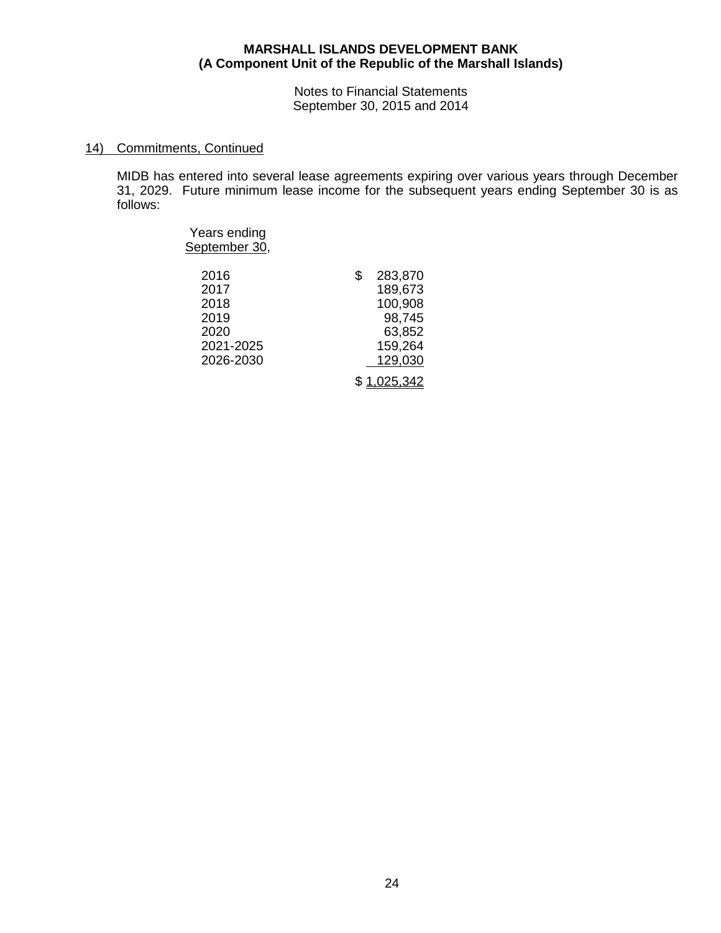Notes to Financial Statements September 30, 2015 and 2014

# 14) Commitments, Continued

MIDB has entered into several lease agreements expiring over various years through December 31, 2029. Future minimum lease income for the subsequent years ending September 30 is as follows:

| Years ending<br>September 30,                                  |   |                                                                         |
|----------------------------------------------------------------|---|-------------------------------------------------------------------------|
| 2016<br>2017<br>2018<br>2019<br>2020<br>2021-2025<br>2026-2030 | S | 283,870<br>189,673<br>100,908<br>98,745<br>63,852<br>159,264<br>129,030 |
|                                                                |   | \$1,025,342                                                             |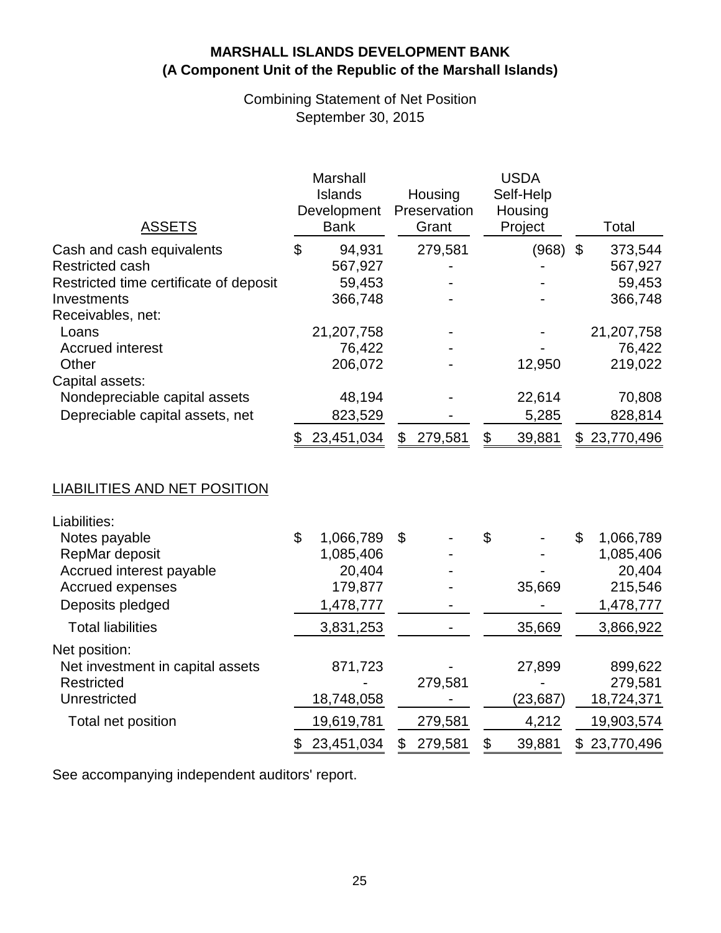# Combining Statement of Net Position September 30, 2015

| <b>ASSETS</b>                          | Marshall<br><b>Islands</b><br>Development<br><b>Bank</b> | Housing<br>Preservation<br>Grant | <b>USDA</b><br>Self-Help<br>Housing<br>Project | Total        |
|----------------------------------------|----------------------------------------------------------|----------------------------------|------------------------------------------------|--------------|
| Cash and cash equivalents              | \$<br>94,931                                             | 279,581                          | $(968)$ \$                                     | 373,544      |
| Restricted cash                        | 567,927                                                  |                                  |                                                | 567,927      |
| Restricted time certificate of deposit | 59,453                                                   |                                  |                                                | 59,453       |
| Investments                            | 366,748                                                  |                                  |                                                | 366,748      |
| Receivables, net:                      |                                                          |                                  |                                                |              |
| Loans                                  | 21,207,758                                               |                                  |                                                | 21,207,758   |
| <b>Accrued interest</b>                | 76,422                                                   |                                  |                                                | 76,422       |
| Other                                  | 206,072                                                  |                                  | 12,950                                         | 219,022      |
| Capital assets:                        |                                                          |                                  |                                                |              |
| Nondepreciable capital assets          | 48,194                                                   |                                  | 22,614                                         | 70,808       |
| Depreciable capital assets, net        | 823,529                                                  |                                  | 5,285                                          | 828,814      |
|                                        | 23,451,034                                               | 279,581                          | \$<br>39,881                                   | \$23,770,496 |

# LIABILITIES AND NET POSITION

| Liabilities:                     |                 |         |          |    |            |
|----------------------------------|-----------------|---------|----------|----|------------|
| Notes payable                    | \$<br>1,066,789 | \$      | \$       | \$ | 1,066,789  |
| RepMar deposit                   | 1,085,406       |         |          |    | 1,085,406  |
| Accrued interest payable         | 20,404          |         |          |    | 20,404     |
| Accrued expenses                 | 179,877         |         | 35,669   |    | 215,546    |
| Deposits pledged                 | 1,478,777       |         |          |    | 1,478,777  |
| <b>Total liabilities</b>         | 3,831,253       |         | 35,669   |    | 3,866,922  |
| Net position:                    |                 |         |          |    |            |
| Net investment in capital assets | 871,723         |         | 27,899   |    | 899,622    |
| Restricted                       |                 | 279,581 |          |    | 279,581    |
| Unrestricted                     | 18,748,058      |         | (23,687) |    | 18,724,371 |
| Total net position               | 19,619,781      | 279,581 | 4,212    |    | 19,903,574 |
|                                  | 23,451,034      | 279,581 | 39,881   | £. | 23,770,496 |

See accompanying independent auditors' report.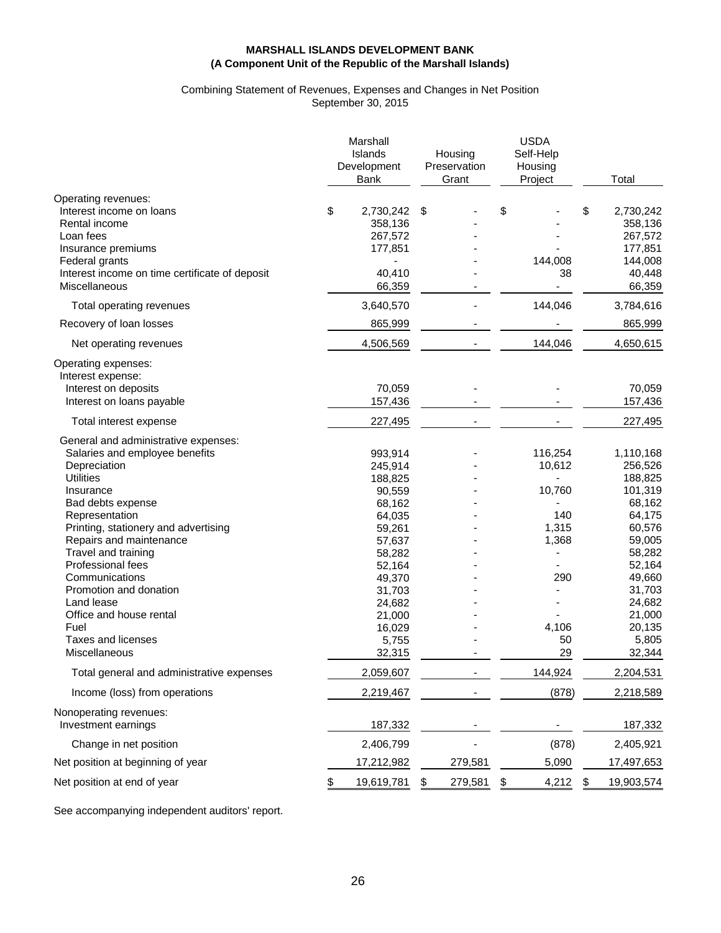#### Combining Statement of Revenues, Expenses and Changes in Net Position September 30, 2015

|                                                                                          | Marshall<br>Islands<br>Development<br><b>Bank</b> | Housing<br>Preservation<br>Grant | <b>USDA</b><br>Self-Help<br>Housing<br>Project | Total                       |
|------------------------------------------------------------------------------------------|---------------------------------------------------|----------------------------------|------------------------------------------------|-----------------------------|
| Operating revenues:<br>Interest income on loans<br>Rental income                         | \$<br>2,730,242<br>358,136                        | \$                               | \$                                             | \$<br>2,730,242<br>358,136  |
| Loan fees<br>Insurance premiums                                                          | 267,572<br>177,851                                |                                  |                                                | 267,572<br>177,851          |
| Federal grants<br>Interest income on time certificate of deposit<br><b>Miscellaneous</b> | 40,410<br>66,359                                  |                                  | 144,008<br>38                                  | 144,008<br>40,448<br>66,359 |
| Total operating revenues                                                                 | 3,640,570                                         |                                  | 144,046                                        | 3,784,616                   |
| Recovery of loan losses                                                                  | 865,999                                           |                                  |                                                | 865,999                     |
| Net operating revenues                                                                   | 4,506,569                                         |                                  | 144,046                                        | 4,650,615                   |
| Operating expenses:<br>Interest expense:                                                 |                                                   |                                  |                                                |                             |
| Interest on deposits<br>Interest on loans payable                                        | 70,059<br>157,436                                 |                                  |                                                | 70,059<br>157,436           |
| Total interest expense                                                                   | 227,495                                           |                                  |                                                | 227,495                     |
| General and administrative expenses:                                                     |                                                   |                                  |                                                |                             |
| Salaries and employee benefits                                                           | 993,914                                           |                                  | 116,254                                        | 1,110,168                   |
| Depreciation<br><b>Utilities</b>                                                         | 245,914                                           |                                  | 10,612                                         | 256,526<br>188,825          |
| Insurance                                                                                | 188,825<br>90,559                                 |                                  | 10,760                                         | 101,319                     |
| Bad debts expense                                                                        | 68,162                                            |                                  |                                                | 68,162                      |
| Representation                                                                           | 64,035                                            |                                  | 140                                            | 64,175                      |
| Printing, stationery and advertising                                                     | 59,261                                            |                                  | 1,315                                          | 60,576                      |
| Repairs and maintenance                                                                  | 57,637                                            |                                  | 1,368                                          | 59,005                      |
| Travel and training                                                                      | 58,282                                            |                                  |                                                | 58,282                      |
| Professional fees                                                                        | 52,164                                            |                                  |                                                | 52,164                      |
| Communications                                                                           | 49,370                                            |                                  | 290                                            | 49,660                      |
| Promotion and donation                                                                   | 31,703                                            |                                  |                                                | 31,703                      |
| Land lease                                                                               | 24,682                                            |                                  |                                                | 24,682                      |
| Office and house rental                                                                  | 21,000                                            |                                  |                                                | 21,000                      |
| Fuel                                                                                     | 16,029                                            |                                  | 4,106                                          | 20,135                      |
| Taxes and licenses                                                                       | 5,755                                             |                                  | 50                                             | 5,805                       |
| Miscellaneous                                                                            | 32,315                                            |                                  | 29                                             | 32,344                      |
| Total general and administrative expenses                                                | 2,059,607                                         |                                  | 144,924                                        | 2,204,531                   |
| Income (loss) from operations                                                            | 2,219,467                                         |                                  | (878)                                          | 2,218,589                   |
| Nonoperating revenues:<br>Investment earnings                                            | 187,332                                           |                                  |                                                | 187,332                     |
| Change in net position                                                                   | 2,406,799                                         |                                  | (878)                                          | 2,405,921                   |
| Net position at beginning of year                                                        | 17,212,982                                        | 279,581                          | 5,090                                          | 17,497,653                  |
| Net position at end of year                                                              | \$<br>19,619,781                                  | \$<br>279,581                    | \$<br>4,212                                    | \$<br>19,903,574            |

See accompanying independent auditors' report.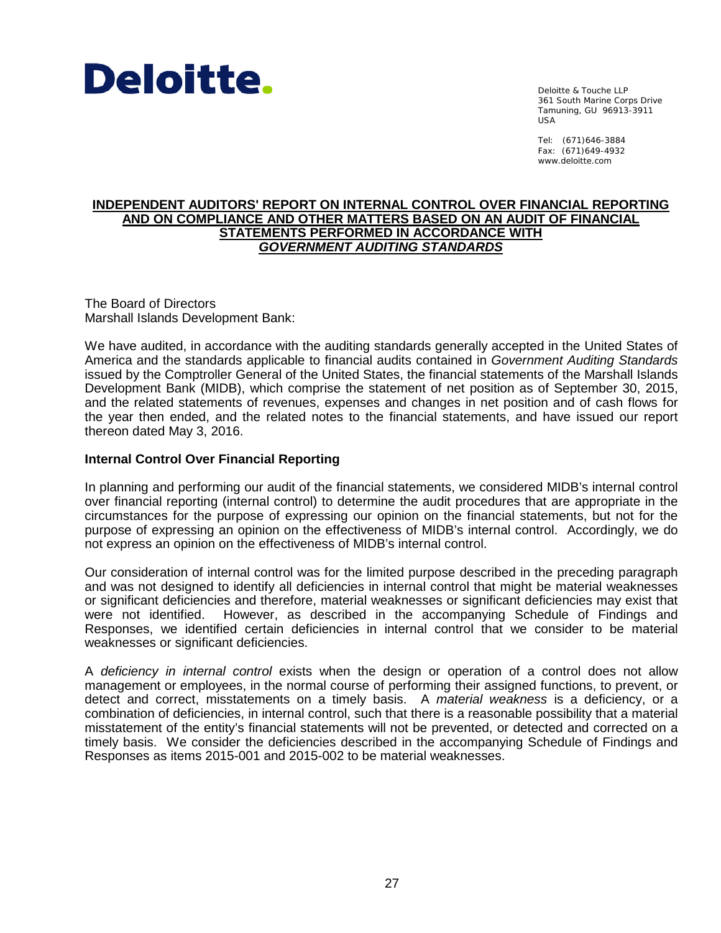

Deloitte & Touche LLP 361 South Marine Corps Drive Tamuning, GU 96913-3911 USA

Tel: (671)646-3884 Fax: (671)649-4932 www.deloitte.com

#### **INDEPENDENT AUDITORS' REPORT ON INTERNAL CONTROL OVER FINANCIAL REPORTING AND ON COMPLIANCE AND OTHER MATTERS BASED ON AN AUDIT OF FINANCIAL STATEMENTS PERFORMED IN ACCORDANCE WITH**  *GOVERNMENT AUDITING STANDARDS*

The Board of Directors Marshall Islands Development Bank:

We have audited, in accordance with the auditing standards generally accepted in the United States of America and the standards applicable to financial audits contained in *Government Auditing Standards* issued by the Comptroller General of the United States, the financial statements of the Marshall Islands Development Bank (MIDB), which comprise the statement of net position as of September 30, 2015, and the related statements of revenues, expenses and changes in net position and of cash flows for the year then ended, and the related notes to the financial statements, and have issued our report thereon dated May 3, 2016.

# **Internal Control Over Financial Reporting**

In planning and performing our audit of the financial statements, we considered MIDB's internal control over financial reporting (internal control) to determine the audit procedures that are appropriate in the circumstances for the purpose of expressing our opinion on the financial statements, but not for the purpose of expressing an opinion on the effectiveness of MIDB's internal control. Accordingly, we do not express an opinion on the effectiveness of MIDB's internal control.

Our consideration of internal control was for the limited purpose described in the preceding paragraph and was not designed to identify all deficiencies in internal control that might be material weaknesses or significant deficiencies and therefore, material weaknesses or significant deficiencies may exist that However, as described in the accompanying Schedule of Findings and Responses, we identified certain deficiencies in internal control that we consider to be material weaknesses or significant deficiencies.

A *deficiency in internal control* exists when the design or operation of a control does not allow management or employees, in the normal course of performing their assigned functions, to prevent, or detect and correct, misstatements on a timely basis. A *material weakness* is a deficiency, or a combination of deficiencies, in internal control, such that there is a reasonable possibility that a material misstatement of the entity's financial statements will not be prevented, or detected and corrected on a timely basis. We consider the deficiencies described in the accompanying Schedule of Findings and Responses as items 2015-001 and 2015-002 to be material weaknesses.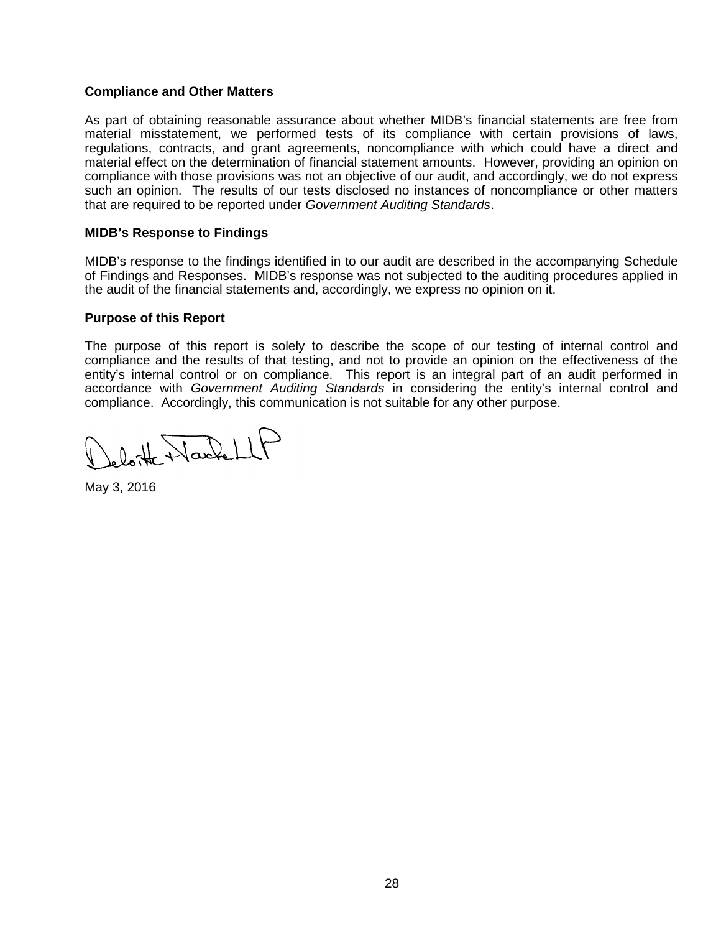# **Compliance and Other Matters**

As part of obtaining reasonable assurance about whether MIDB's financial statements are free from material misstatement, we performed tests of its compliance with certain provisions of laws, regulations, contracts, and grant agreements, noncompliance with which could have a direct and material effect on the determination of financial statement amounts. However, providing an opinion on compliance with those provisions was not an objective of our audit, and accordingly, we do not express such an opinion. The results of our tests disclosed no instances of noncompliance or other matters that are required to be reported under *Government Auditing Standards*.

# **MIDB's Response to Findings**

MIDB's response to the findings identified in to our audit are described in the accompanying Schedule of Findings and Responses. MIDB's response was not subjected to the auditing procedures applied in the audit of the financial statements and, accordingly, we express no opinion on it.

# **Purpose of this Report**

The purpose of this report is solely to describe the scope of our testing of internal control and compliance and the results of that testing, and not to provide an opinion on the effectiveness of the entity's internal control or on compliance. This report is an integral part of an audit performed in accordance with *Government Auditing Standards* in considering the entity's internal control and compliance. Accordingly, this communication is not suitable for any other purpose.

latte Harlett

May 3, 2016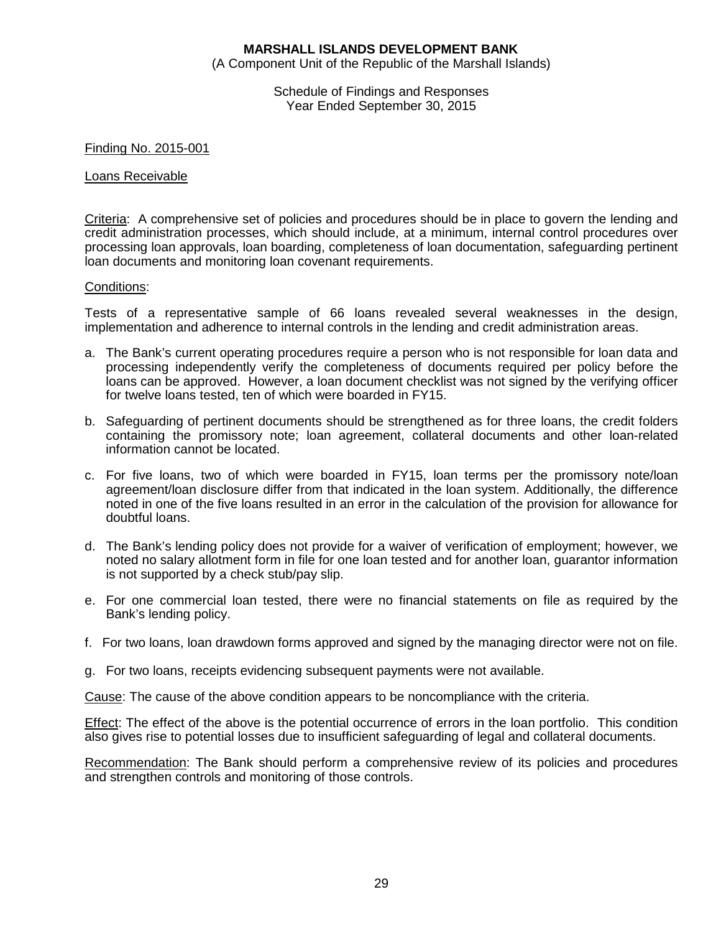(A Component Unit of the Republic of the Marshall Islands)

Schedule of Findings and Responses Year Ended September 30, 2015

### Finding No. 2015-001

#### Loans Receivable

Criteria: A comprehensive set of policies and procedures should be in place to govern the lending and credit administration processes, which should include, at a minimum, internal control procedures over processing loan approvals, loan boarding, completeness of loan documentation, safeguarding pertinent loan documents and monitoring loan covenant requirements.

#### Conditions:

Tests of a representative sample of 66 loans revealed several weaknesses in the design, implementation and adherence to internal controls in the lending and credit administration areas.

- a. The Bank's current operating procedures require a person who is not responsible for loan data and processing independently verify the completeness of documents required per policy before the loans can be approved. However, a loan document checklist was not signed by the verifying officer for twelve loans tested, ten of which were boarded in FY15.
- b. Safeguarding of pertinent documents should be strengthened as for three loans, the credit folders containing the promissory note; loan agreement, collateral documents and other loan-related information cannot be located.
- c. For five loans, two of which were boarded in FY15, loan terms per the promissory note/loan agreement/loan disclosure differ from that indicated in the loan system. Additionally, the difference noted in one of the five loans resulted in an error in the calculation of the provision for allowance for doubtful loans.
- d. The Bank's lending policy does not provide for a waiver of verification of employment; however, we noted no salary allotment form in file for one loan tested and for another loan, guarantor information is not supported by a check stub/pay slip.
- e. For one commercial loan tested, there were no financial statements on file as required by the Bank's lending policy.
- f. For two loans, loan drawdown forms approved and signed by the managing director were not on file.
- g. For two loans, receipts evidencing subsequent payments were not available.

Cause: The cause of the above condition appears to be noncompliance with the criteria.

Effect: The effect of the above is the potential occurrence of errors in the loan portfolio. This condition also gives rise to potential losses due to insufficient safeguarding of legal and collateral documents.

Recommendation: The Bank should perform a comprehensive review of its policies and procedures and strengthen controls and monitoring of those controls.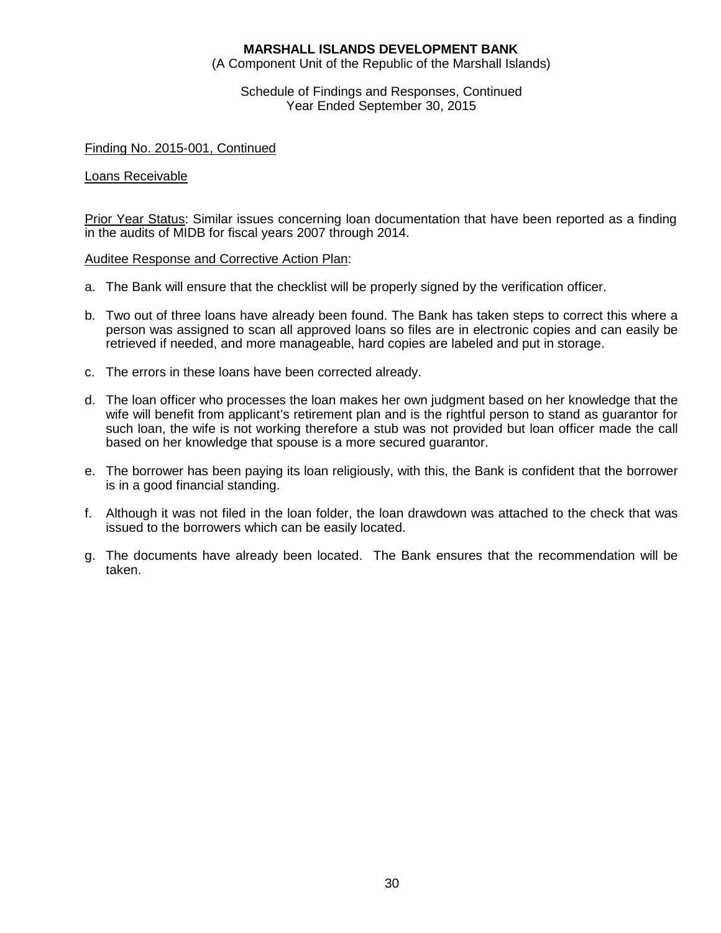(A Component Unit of the Republic of the Marshall Islands)

Schedule of Findings and Responses, Continued Year Ended September 30, 2015

### Finding No. 2015-001, Continued

#### Loans Receivable

Prior Year Status: Similar issues concerning loan documentation that have been reported as a finding in the audits of MIDB for fiscal years 2007 through 2014.

#### Auditee Response and Corrective Action Plan:

- a. The Bank will ensure that the checklist will be properly signed by the verification officer.
- b. Two out of three loans have already been found. The Bank has taken steps to correct this where a person was assigned to scan all approved loans so files are in electronic copies and can easily be retrieved if needed, and more manageable, hard copies are labeled and put in storage.
- c. The errors in these loans have been corrected already.
- d. The loan officer who processes the loan makes her own judgment based on her knowledge that the wife will benefit from applicant's retirement plan and is the rightful person to stand as guarantor for such loan, the wife is not working therefore a stub was not provided but loan officer made the call based on her knowledge that spouse is a more secured guarantor.
- e. The borrower has been paying its loan religiously, with this, the Bank is confident that the borrower is in a good financial standing.
- f. Although it was not filed in the loan folder, the loan drawdown was attached to the check that was issued to the borrowers which can be easily located.
- g. The documents have already been located. The Bank ensures that the recommendation will be taken.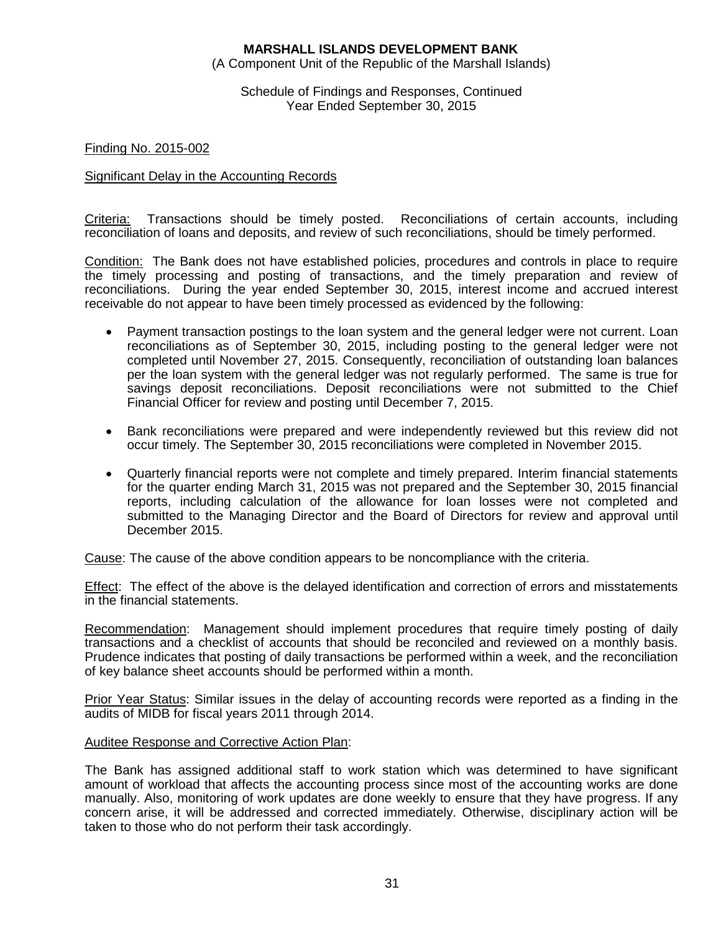(A Component Unit of the Republic of the Marshall Islands)

Schedule of Findings and Responses, Continued Year Ended September 30, 2015

# Finding No. 2015-002

# Significant Delay in the Accounting Records

Criteria: Transactions should be timely posted. Reconciliations of certain accounts, including reconciliation of loans and deposits, and review of such reconciliations, should be timely performed.

Condition: The Bank does not have established policies, procedures and controls in place to require the timely processing and posting of transactions, and the timely preparation and review of reconciliations. During the year ended September 30, 2015, interest income and accrued interest receivable do not appear to have been timely processed as evidenced by the following:

- Payment transaction postings to the loan system and the general ledger were not current. Loan reconciliations as of September 30, 2015, including posting to the general ledger were not completed until November 27, 2015. Consequently, reconciliation of outstanding loan balances per the loan system with the general ledger was not regularly performed. The same is true for savings deposit reconciliations. Deposit reconciliations were not submitted to the Chief Financial Officer for review and posting until December 7, 2015.
- Bank reconciliations were prepared and were independently reviewed but this review did not occur timely. The September 30, 2015 reconciliations were completed in November 2015.
- Quarterly financial reports were not complete and timely prepared. Interim financial statements for the quarter ending March 31, 2015 was not prepared and the September 30, 2015 financial reports, including calculation of the allowance for loan losses were not completed and submitted to the Managing Director and the Board of Directors for review and approval until December 2015.

Cause: The cause of the above condition appears to be noncompliance with the criteria.

Effect: The effect of the above is the delayed identification and correction of errors and misstatements in the financial statements.

Recommendation: Management should implement procedures that require timely posting of daily transactions and a checklist of accounts that should be reconciled and reviewed on a monthly basis. Prudence indicates that posting of daily transactions be performed within a week, and the reconciliation of key balance sheet accounts should be performed within a month.

Prior Year Status: Similar issues in the delay of accounting records were reported as a finding in the audits of MIDB for fiscal years 2011 through 2014.

# Auditee Response and Corrective Action Plan:

The Bank has assigned additional staff to work station which was determined to have significant amount of workload that affects the accounting process since most of the accounting works are done manually. Also, monitoring of work updates are done weekly to ensure that they have progress. If any concern arise, it will be addressed and corrected immediately. Otherwise, disciplinary action will be taken to those who do not perform their task accordingly.